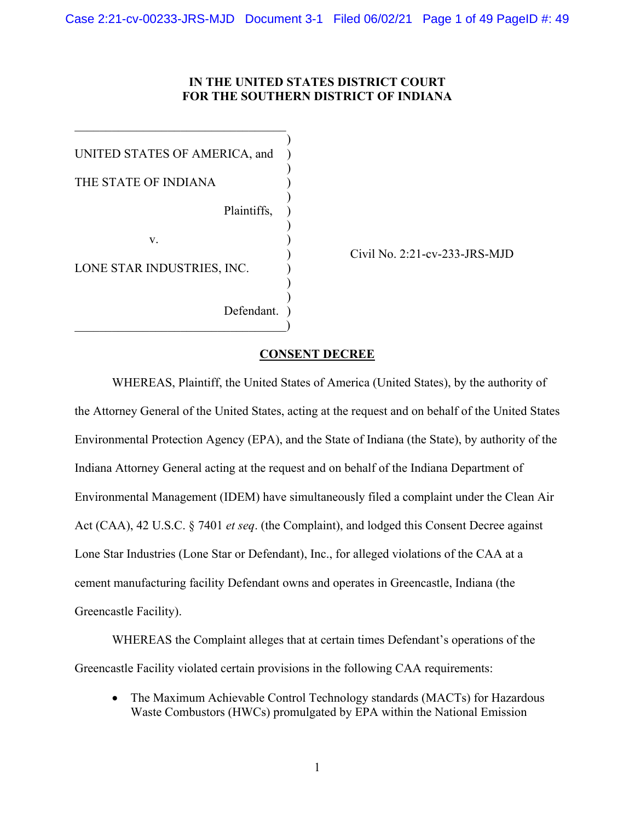### **IN THE UNITED STATES DISTRICT COURT FOR THE SOUTHERN DISTRICT OF INDIANA**

)

)

)

) )

) and  $\overline{\phantom{a}}$ 

UNITED STATES OF AMERICA, and ) THE STATE OF INDIANA Plaintiffs, )

> $V_{\star}$ v. )

LONE STAR INDUSTRIES, INC.

 $\qquad \qquad \qquad \qquad \qquad \qquad$ 

Defendant.

) Civil No. 2:21-cv-233-JRS-MJD

#### **CONSENT DECREE**

WHEREAS, Plaintiff, the United States of America (United States), by the authority of the Attorney General of the United States, acting at the request and on behalf of the United States Environmental Protection Agency (EPA), and the State of Indiana (the State), by authority of the Indiana Attorney General acting at the request and on behalf of the Indiana Department of Environmental Management (IDEM) have simultaneously filed a complaint under the Clean Air Act (CAA), 42 U.S.C. § 7401 *et seq*. (the Complaint), and lodged this Consent Decree against Lone Star Industries (Lone Star or Defendant), Inc., for alleged violations of the CAA at a cement manufacturing facility Defendant owns and operates in Greencastle, Indiana (the Greencastle Facility).

WHEREAS the Complaint alleges that at certain times Defendant's operations of the Greencastle Facility violated certain provisions in the following CAA requirements:

• The Maximum Achievable Control Technology standards (MACTs) for Hazardous Waste Combustors (HWCs) promulgated by EPA within the National Emission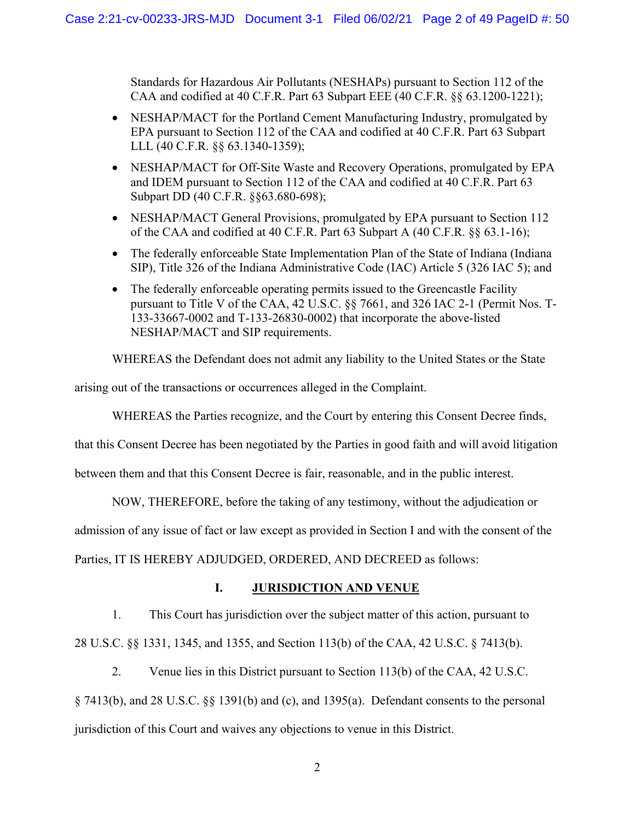Standards for Hazardous Air Pollutants (NESHAPs) pursuant to Section 112 of the CAA and codified at 40 C.F.R. Part 63 Subpart EEE (40 C.F.R. §§ 63.1200-1221);

- NESHAP/MACT for the Portland Cement Manufacturing Industry, promulgated by EPA pursuant to Section 112 of the CAA and codified at 40 C.F.R. Part 63 Subpart LLL (40 C.F.R. §§ 63.1340-1359);
- NESHAP/MACT for Off-Site Waste and Recovery Operations, promulgated by EPA and IDEM pursuant to Section 112 of the CAA and codified at 40 C.F.R. Part 63 Subpart DD (40 C.F.R. §§63.680-698);
- NESHAP/MACT General Provisions, promulgated by EPA pursuant to Section 112 of the CAA and codified at 40 C.F.R. Part 63 Subpart A (40 C.F.R. §§ 63.1-16);
- The federally enforceable State Implementation Plan of the State of Indiana (Indiana SIP), Title 326 of the Indiana Administrative Code (IAC) Article 5 (326 IAC 5); and
- The federally enforceable operating permits issued to the Greencastle Facility pursuant to Title V of the CAA, 42 U.S.C. §§ 7661, and 326 IAC 2-1 (Permit Nos. T-133-33667-0002 and T-133-26830-0002) that incorporate the above-listed NESHAP/MACT and SIP requirements.

WHEREAS the Defendant does not admit any liability to the United States or the State

arising out of the transactions or occurrences alleged in the Complaint.

WHEREAS the Parties recognize, and the Court by entering this Consent Decree finds,

that this Consent Decree has been negotiated by the Parties in good faith and will avoid litigation

between them and that this Consent Decree is fair, reasonable, and in the public interest.

NOW, THEREFORE, before the taking of any testimony, without the adjudication or

admission of any issue of fact or law except as provided in Section I and with the consent of the

Parties, IT IS HEREBY ADJUDGED, ORDERED, AND DECREED as follows:

# **I. JURISDICTION AND VENUE**

1. This Court has jurisdiction over the subject matter of this action, pursuant to 28 U.S.C. §§ 1331, 1345, and 1355, and Section 113(b) of the CAA, 42 U.S.C. § 7413(b).

2. Venue lies in this District pursuant to Section 113(b) of the CAA, 42 U.S.C.

§ 7413(b), and 28 U.S.C. §§ 1391(b) and (c), and 1395(a). Defendant consents to the personal jurisdiction of this Court and waives any objections to venue in this District.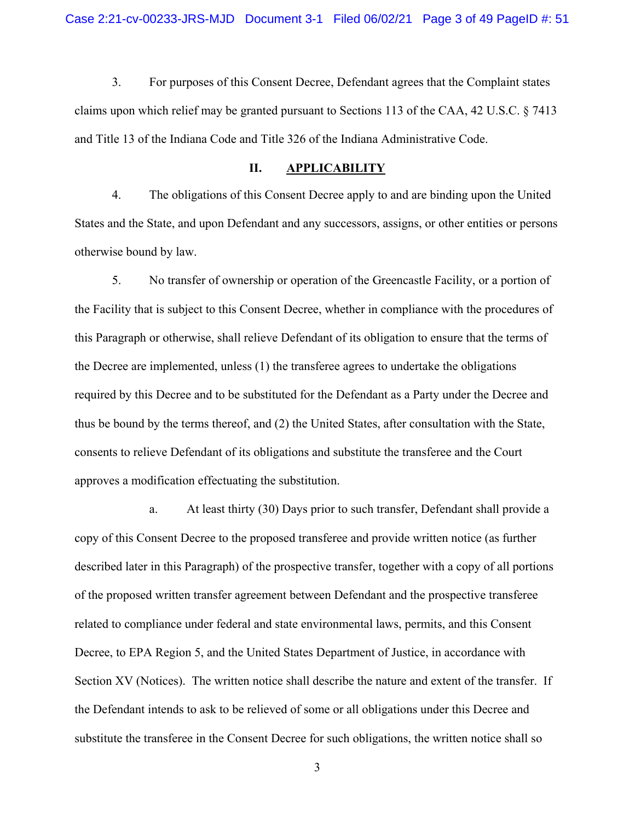3. For purposes of this Consent Decree, Defendant agrees that the Complaint states claims upon which relief may be granted pursuant to Sections 113 of the CAA, 42 U.S.C. § 7413 and Title 13 of the Indiana Code and Title 326 of the Indiana Administrative Code.

#### **II. APPLICABILITY**

4. The obligations of this Consent Decree apply to and are binding upon the United States and the State, and upon Defendant and any successors, assigns, or other entities or persons otherwise bound by law.

5. No transfer of ownership or operation of the Greencastle Facility, or a portion of the Facility that is subject to this Consent Decree, whether in compliance with the procedures of this Paragraph or otherwise, shall relieve Defendant of its obligation to ensure that the terms of the Decree are implemented, unless (1) the transferee agrees to undertake the obligations required by this Decree and to be substituted for the Defendant as a Party under the Decree and thus be bound by the terms thereof, and (2) the United States, after consultation with the State, consents to relieve Defendant of its obligations and substitute the transferee and the Court approves a modification effectuating the substitution.

a. At least thirty (30) Days prior to such transfer, Defendant shall provide a copy of this Consent Decree to the proposed transferee and provide written notice (as further described later in this Paragraph) of the prospective transfer, together with a copy of all portions of the proposed written transfer agreement between Defendant and the prospective transferee related to compliance under federal and state environmental laws, permits, and this Consent Decree, to EPA Region 5, and the United States Department of Justice, in accordance with Section XV (Notices). The written notice shall describe the nature and extent of the transfer. If the Defendant intends to ask to be relieved of some or all obligations under this Decree and substitute the transferee in the Consent Decree for such obligations, the written notice shall so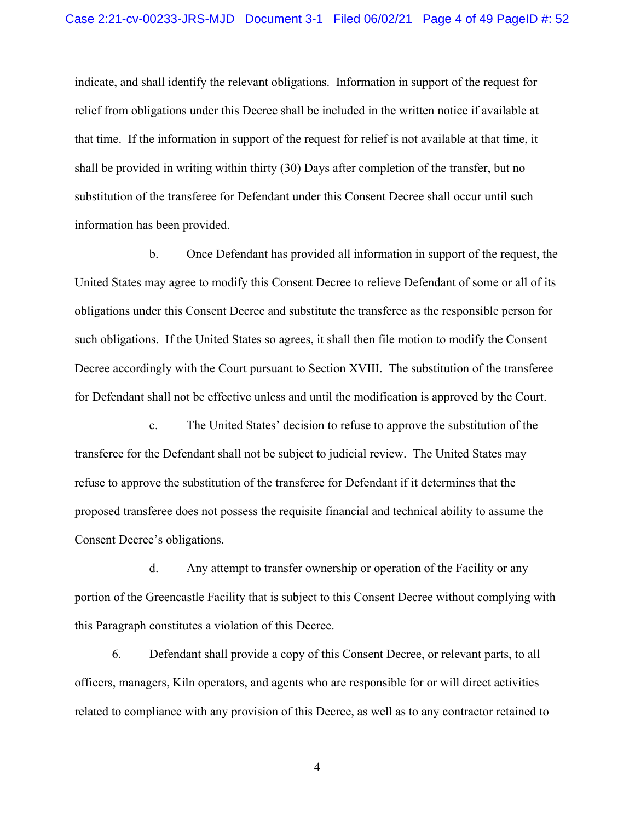indicate, and shall identify the relevant obligations. Information in support of the request for relief from obligations under this Decree shall be included in the written notice if available at that time. If the information in support of the request for relief is not available at that time, it shall be provided in writing within thirty (30) Days after completion of the transfer, but no substitution of the transferee for Defendant under this Consent Decree shall occur until such information has been provided.

b. Once Defendant has provided all information in support of the request, the United States may agree to modify this Consent Decree to relieve Defendant of some or all of its obligations under this Consent Decree and substitute the transferee as the responsible person for such obligations. If the United States so agrees, it shall then file motion to modify the Consent Decree accordingly with the Court pursuant to Section XVIII. The substitution of the transferee for Defendant shall not be effective unless and until the modification is approved by the Court.

c. The United States' decision to refuse to approve the substitution of the transferee for the Defendant shall not be subject to judicial review. The United States may refuse to approve the substitution of the transferee for Defendant if it determines that the proposed transferee does not possess the requisite financial and technical ability to assume the Consent Decree's obligations.

d. Any attempt to transfer ownership or operation of the Facility or any portion of the Greencastle Facility that is subject to this Consent Decree without complying with this Paragraph constitutes a violation of this Decree.

6. Defendant shall provide a copy of this Consent Decree, or relevant parts, to all officers, managers, Kiln operators, and agents who are responsible for or will direct activities related to compliance with any provision of this Decree, as well as to any contractor retained to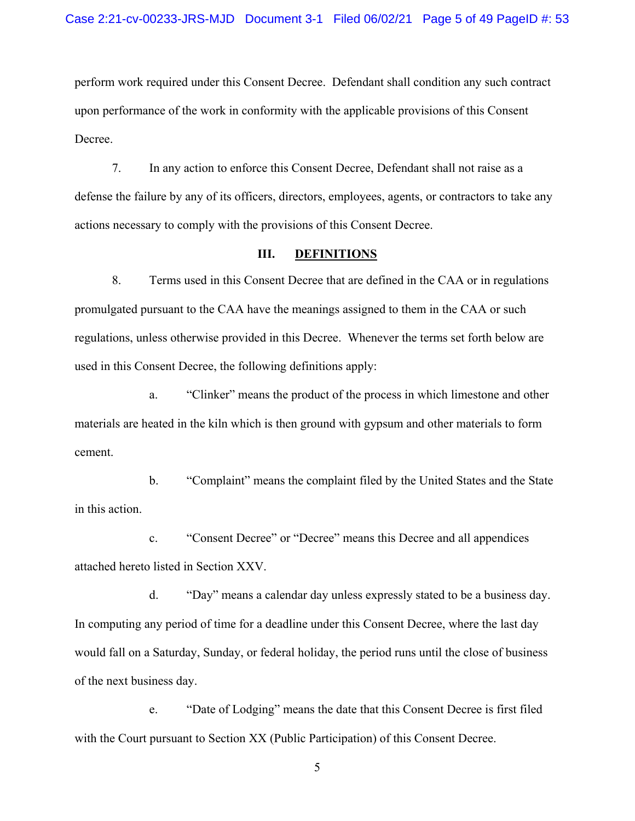perform work required under this Consent Decree. Defendant shall condition any such contract upon performance of the work in conformity with the applicable provisions of this Consent Decree.

7. In any action to enforce this Consent Decree, Defendant shall not raise as a defense the failure by any of its officers, directors, employees, agents, or contractors to take any actions necessary to comply with the provisions of this Consent Decree.

#### **III. DEFINITIONS**

8. Terms used in this Consent Decree that are defined in the CAA or in regulations promulgated pursuant to the CAA have the meanings assigned to them in the CAA or such regulations, unless otherwise provided in this Decree. Whenever the terms set forth below are used in this Consent Decree, the following definitions apply:

a. "Clinker" means the product of the process in which limestone and other materials are heated in the kiln which is then ground with gypsum and other materials to form cement.

b. "Complaint" means the complaint filed by the United States and the State in this action.

c. "Consent Decree" or "Decree" means this Decree and all appendices attached hereto listed in Section XXV.

d. "Day" means a calendar day unless expressly stated to be a business day. In computing any period of time for a deadline under this Consent Decree, where the last day would fall on a Saturday, Sunday, or federal holiday, the period runs until the close of business of the next business day.

e. "Date of Lodging" means the date that this Consent Decree is first filed with the Court pursuant to Section XX (Public Participation) of this Consent Decree.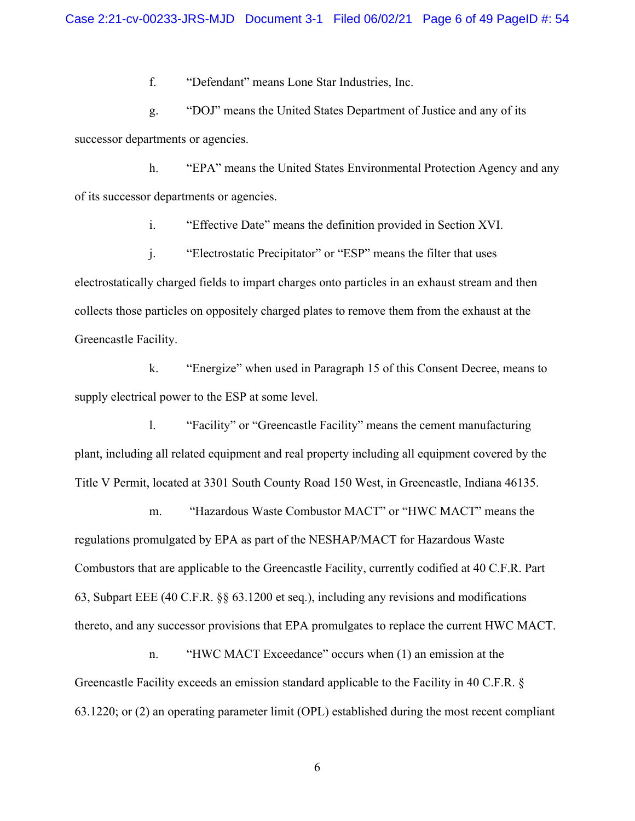f. "Defendant" means Lone Star Industries, Inc.

g. "DOJ" means the United States Department of Justice and any of its successor departments or agencies.

h. "EPA" means the United States Environmental Protection Agency and any of its successor departments or agencies.

i. "Effective Date" means the definition provided in Section XVI.

j. "Electrostatic Precipitator" or "ESP" means the filter that uses electrostatically charged fields to impart charges onto particles in an exhaust stream and then collects those particles on oppositely charged plates to remove them from the exhaust at the Greencastle Facility.

k. "Energize" when used in Paragraph 15 of this Consent Decree, means to supply electrical power to the ESP at some level.

l. "Facility" or "Greencastle Facility" means the cement manufacturing plant, including all related equipment and real property including all equipment covered by the Title V Permit, located at 3301 South County Road 150 West, in Greencastle, Indiana 46135.

m. "Hazardous Waste Combustor MACT" or "HWC MACT" means the regulations promulgated by EPA as part of the NESHAP/MACT for Hazardous Waste Combustors that are applicable to the Greencastle Facility, currently codified at 40 C.F.R. Part 63, Subpart EEE (40 C.F.R. §§ 63.1200 et seq.), including any revisions and modifications thereto, and any successor provisions that EPA promulgates to replace the current HWC MACT.

n. "HWC MACT Exceedance" occurs when (1) an emission at the Greencastle Facility exceeds an emission standard applicable to the Facility in 40 C.F.R. § 63.1220; or (2) an operating parameter limit (OPL) established during the most recent compliant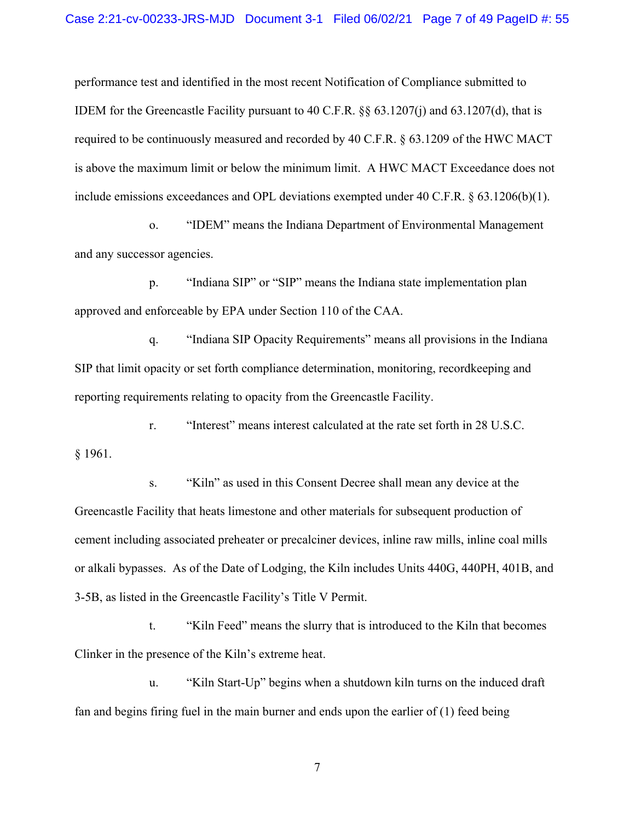performance test and identified in the most recent Notification of Compliance submitted to IDEM for the Greencastle Facility pursuant to 40 C.F.R. §§ 63.1207(j) and 63.1207(d), that is required to be continuously measured and recorded by 40 C.F.R. § 63.1209 of the HWC MACT is above the maximum limit or below the minimum limit. A HWC MACT Exceedance does not include emissions exceedances and OPL deviations exempted under 40 C.F.R.  $\S 63.1206(b)(1)$ .

o. "IDEM" means the Indiana Department of Environmental Management and any successor agencies.

p. "Indiana SIP" or "SIP" means the Indiana state implementation plan approved and enforceable by EPA under Section 110 of the CAA.

q. "Indiana SIP Opacity Requirements" means all provisions in the Indiana SIP that limit opacity or set forth compliance determination, monitoring, recordkeeping and reporting requirements relating to opacity from the Greencastle Facility.

r. "Interest" means interest calculated at the rate set forth in 28 U.S.C. § 1961.

s. "Kiln" as used in this Consent Decree shall mean any device at the Greencastle Facility that heats limestone and other materials for subsequent production of cement including associated preheater or precalciner devices, inline raw mills, inline coal mills or alkali bypasses. As of the Date of Lodging, the Kiln includes Units 440G, 440PH, 401B, and 3-5B, as listed in the Greencastle Facility's Title V Permit.

t. "Kiln Feed" means the slurry that is introduced to the Kiln that becomes Clinker in the presence of the Kiln's extreme heat.

u. "Kiln Start-Up" begins when a shutdown kiln turns on the induced draft fan and begins firing fuel in the main burner and ends upon the earlier of (1) feed being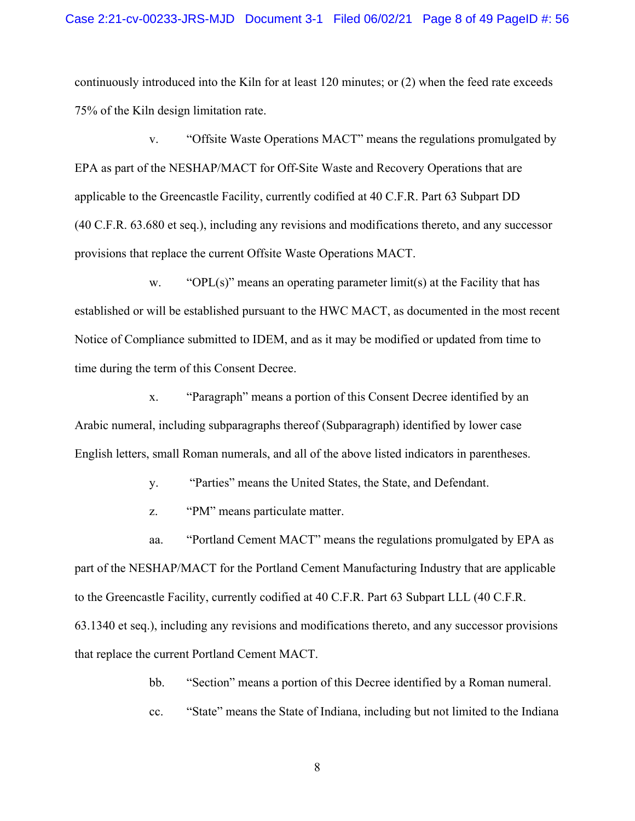continuously introduced into the Kiln for at least 120 minutes; or (2) when the feed rate exceeds 75% of the Kiln design limitation rate.

v. "Offsite Waste Operations MACT" means the regulations promulgated by EPA as part of the NESHAP/MACT for Off-Site Waste and Recovery Operations that are applicable to the Greencastle Facility, currently codified at 40 C.F.R. Part 63 Subpart DD (40 C.F.R. 63.680 et seq.), including any revisions and modifications thereto, and any successor provisions that replace the current Offsite Waste Operations MACT.

w. "OPL(s)" means an operating parameter limit(s) at the Facility that has established or will be established pursuant to the HWC MACT, as documented in the most recent Notice of Compliance submitted to IDEM, and as it may be modified or updated from time to time during the term of this Consent Decree.

x. "Paragraph" means a portion of this Consent Decree identified by an Arabic numeral, including subparagraphs thereof (Subparagraph) identified by lower case English letters, small Roman numerals, and all of the above listed indicators in parentheses.

y. "Parties" means the United States, the State, and Defendant.

z. "PM" means particulate matter.

aa. "Portland Cement MACT" means the regulations promulgated by EPA as part of the NESHAP/MACT for the Portland Cement Manufacturing Industry that are applicable to the Greencastle Facility, currently codified at 40 C.F.R. Part 63 Subpart LLL (40 C.F.R. 63.1340 et seq.), including any revisions and modifications thereto, and any successor provisions that replace the current Portland Cement MACT.

bb. "Section" means a portion of this Decree identified by a Roman numeral.

cc. "State" means the State of Indiana, including but not limited to the Indiana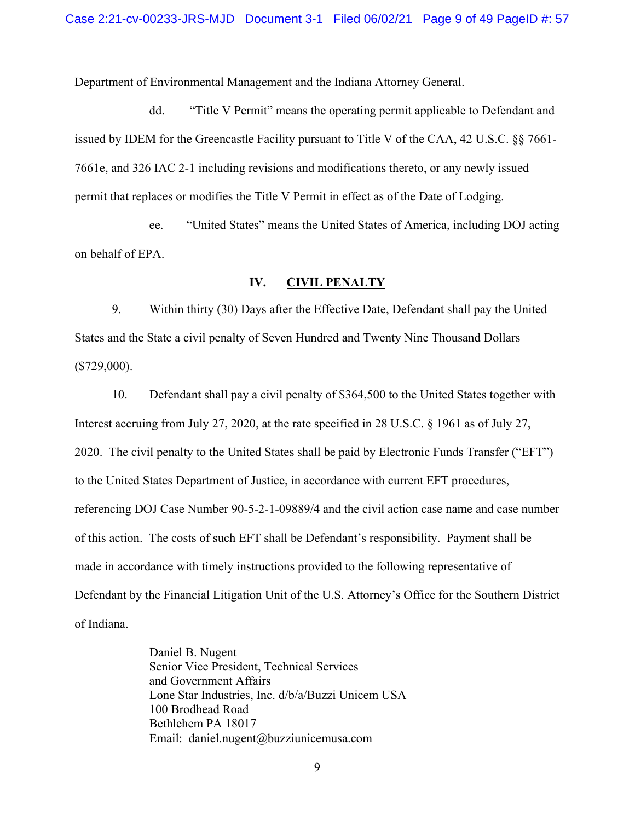Department of Environmental Management and the Indiana Attorney General.

dd. "Title V Permit" means the operating permit applicable to Defendant and issued by IDEM for the Greencastle Facility pursuant to Title V of the CAA, 42 U.S.C. §§ 7661- 7661e, and 326 IAC 2-1 including revisions and modifications thereto, or any newly issued permit that replaces or modifies the Title V Permit in effect as of the Date of Lodging.

ee. "United States" means the United States of America, including DOJ acting on behalf of EPA.

#### **IV. CIVIL PENALTY**

9. Within thirty (30) Days after the Effective Date, Defendant shall pay the United States and the State a civil penalty of Seven Hundred and Twenty Nine Thousand Dollars (\$729,000).

10. Defendant shall pay a civil penalty of \$364,500 to the United States together with Interest accruing from July 27, 2020, at the rate specified in 28 U.S.C. § 1961 as of July 27, 2020. The civil penalty to the United States shall be paid by Electronic Funds Transfer ("EFT") to the United States Department of Justice, in accordance with current EFT procedures, referencing DOJ Case Number 90-5-2-1-09889/4 and the civil action case name and case number of this action. The costs of such EFT shall be Defendant's responsibility. Payment shall be made in accordance with timely instructions provided to the following representative of Defendant by the Financial Litigation Unit of the U.S. Attorney's Office for the Southern District of Indiana.

> Daniel B. Nugent Senior Vice President, Technical Services and Government Affairs Lone Star Industries, Inc. d/b/a/Buzzi Unicem USA 100 Brodhead Road Bethlehem PA 18017 Email: [daniel.nugent@buzziunicemusa.com](mailto:daniel.nugent@buzziunicemusa.com)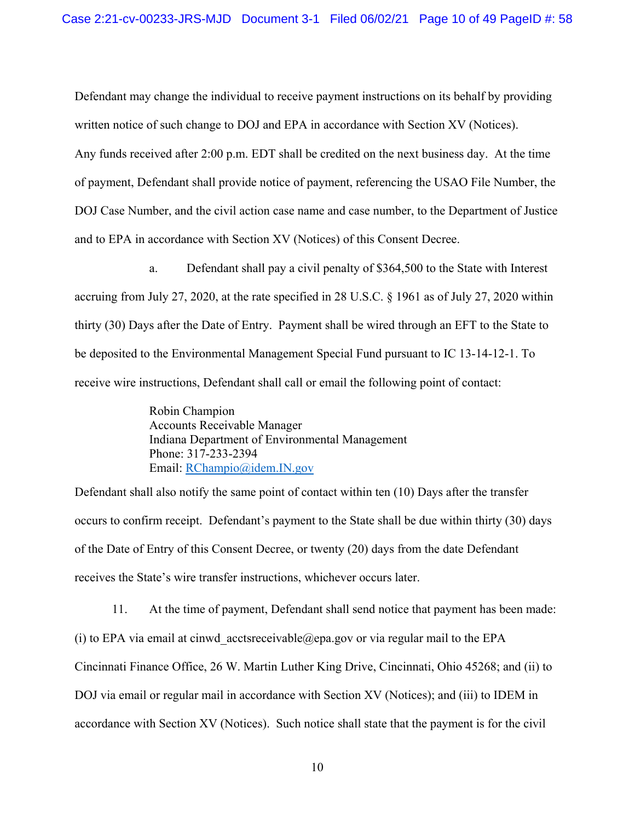Defendant may change the individual to receive payment instructions on its behalf by providing written notice of such change to DOJ and EPA in accordance with Section XV (Notices).

Any funds received after 2:00 p.m. EDT shall be credited on the next business day. At the time of payment, Defendant shall provide notice of payment, referencing the USAO File Number, the DOJ Case Number, and the civil action case name and case number, to the Department of Justice and to EPA in accordance with Section XV (Notices) of this Consent Decree.

a. Defendant shall pay a civil penalty of \$364,500 to the State with Interest accruing from July 27, 2020, at the rate specified in 28 U.S.C. § 1961 as of July 27, 2020 within thirty (30) Days after the Date of Entry. Payment shall be wired through an EFT to the State to be deposited to the Environmental Management Special Fund pursuant to IC 13-14-12-1. To receive wire instructions, Defendant shall call or email the following point of contact:

> Robin Champion Accounts Receivable Manager Indiana Department of Environmental Management Phone: 317-233-2394 Email: [RChampio@idem.IN.gov](mailto:RChampio@idem.IN.gov)

Defendant shall also notify the same point of contact within ten (10) Days after the transfer occurs to confirm receipt. Defendant's payment to the State shall be due within thirty (30) days of the Date of Entry of this Consent Decree, or twenty (20) days from the date Defendant receives the State's wire transfer instructions, whichever occurs later.

11. At the time of payment, Defendant shall send notice that payment has been made: (i) to EPA via email at cinwd acctsreceivable@epa.gov or via regular mail to the EPA Cincinnati Finance Office, 26 W. Martin Luther King Drive, Cincinnati, Ohio 45268; and (ii) to DOJ via email or regular mail in accordance with Section XV (Notices); and (iii) to IDEM in accordance with Section XV (Notices). Such notice shall state that the payment is for the civil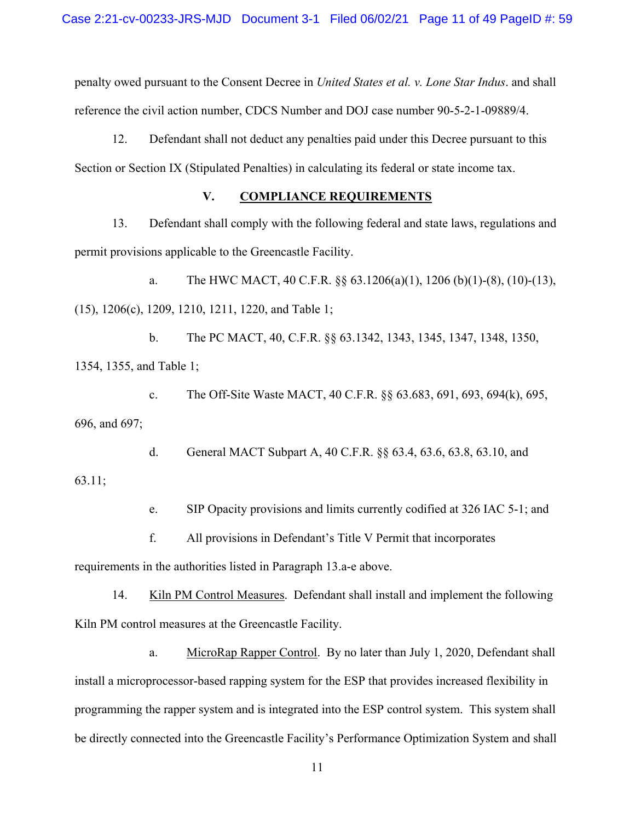penalty owed pursuant to the Consent Decree in *United States et al. v. Lone Star Indus*. and shall reference the civil action number, CDCS Number and DOJ case number 90-5-2-1-09889/4.

12. Defendant shall not deduct any penalties paid under this Decree pursuant to this Section or Section IX (Stipulated Penalties) in calculating its federal or state income tax.

### **V. COMPLIANCE REQUIREMENTS**

13. Defendant shall comply with the following federal and state laws, regulations and permit provisions applicable to the Greencastle Facility.

a. The HWC MACT, 40 C.F.R. §§ 63.1206(a)(1), 1206 (b)(1)-(8), (10)-(13), (15), 1206(c), 1209, 1210, 1211, 1220, and Table 1;

b. The PC MACT, 40, C.F.R. §§ 63.1342, 1343, 1345, 1347, 1348, 1350, 1354, 1355, and Table 1;

c. The Off-Site Waste MACT, 40 C.F.R. §§ 63.683, 691, 693, 694(k), 695, 696, and 697;

d. General MACT Subpart A, 40 C.F.R. §§ 63.4, 63.6, 63.8, 63.10, and

63.11;

e. SIP Opacity provisions and limits currently codified at 326 IAC 5-1; and

f. All provisions in Defendant's Title V Permit that incorporates

requirements in the authorities listed in Paragraph 13.a-e above.

14. Kiln PM Control Measures. Defendant shall install and implement the following Kiln PM control measures at the Greencastle Facility.

a. MicroRap Rapper Control. By no later than July 1, 2020, Defendant shall install a microprocessor-based rapping system for the ESP that provides increased flexibility in programming the rapper system and is integrated into the ESP control system. This system shall be directly connected into the Greencastle Facility's Performance Optimization System and shall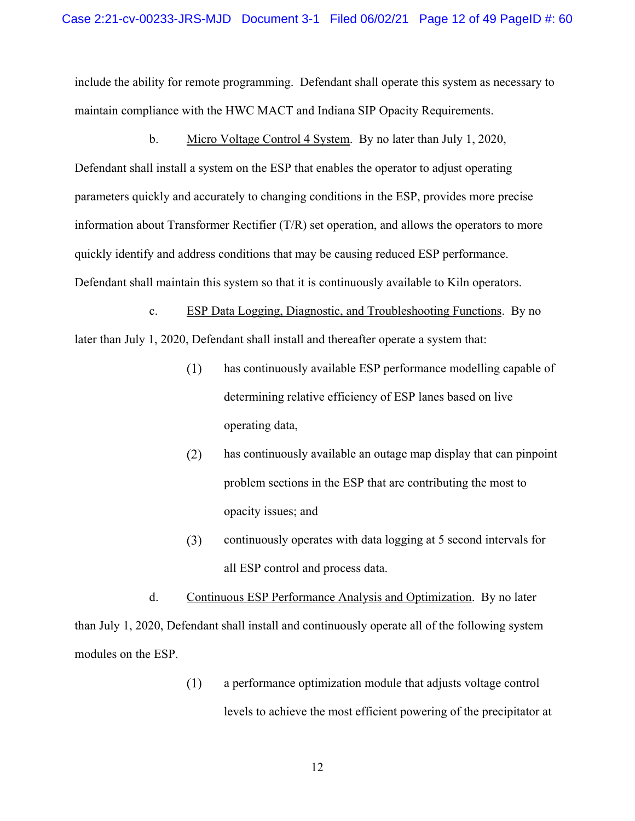include the ability for remote programming. Defendant shall operate this system as necessary to maintain compliance with the HWC MACT and Indiana SIP Opacity Requirements.

b. Micro Voltage Control 4 System. By no later than July 1, 2020, quickly identify and address conditions that may be causing reduced ESP performance. Defendant shall install a system on the ESP that enables the operator to adjust operating parameters quickly and accurately to changing conditions in the ESP, provides more precise information about Transformer Rectifier (T/R) set operation, and allows the operators to more Defendant shall maintain this system so that it is continuously available to Kiln operators.

 c. ESP Data Logging, Diagnostic, and Troubleshooting Functions. By no later than July 1, 2020, Defendant shall install and thereafter operate a system that:

- $(1)$ has continuously available ESP performance modelling capable of determining relative efficiency of ESP lanes based on live operating data,
- $(2)$ has continuously available an outage map display that can pinpoint problem sections in the ESP that are contributing the most to opacity issues; and
- $(3)$ continuously operates with data logging at 5 second intervals for all ESP control and process data.

d. Continuous ESP Performance Analysis and Optimization. By no later than July 1, 2020, Defendant shall install and continuously operate all of the following system modules on the ESP.

> $(1)$ a performance optimization module that adjusts voltage control levels to achieve the most efficient powering of the precipitator at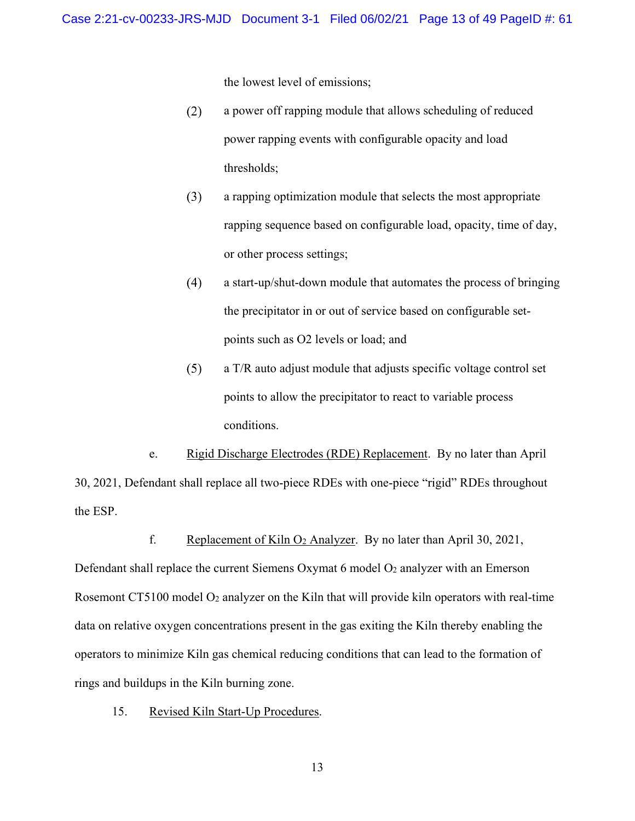the lowest level of emissions;

- $(2)$ a power off rapping module that allows scheduling of reduced power rapping events with configurable opacity and load thresholds;
- $(3)$ a rapping optimization module that selects the most appropriate rapping sequence based on configurable load, opacity, time of day, or other process settings;
- $(4)$ a start-up/shut-down module that automates the process of bringing the precipitator in or out of service based on configurable setpoints such as O2 levels or load; and
- $(5)$ a T/R auto adjust module that adjusts specific voltage control set points to allow the precipitator to react to variable process conditions.

e. Rigid Discharge Electrodes (RDE) Replacement. By no later than April 30, 2021, Defendant shall replace all two-piece RDEs with one-piece "rigid" RDEs throughout the ESP.

f. Replacement of Kiln  $O_2$  Analyzer. By no later than April 30, 2021,

Defendant shall replace the current Siemens Oxymat 6 model O<sub>2</sub> analyzer with an Emerson Rosemont CT5100 model  $O_2$  analyzer on the Kiln that will provide kiln operators with real-time data on relative oxygen concentrations present in the gas exiting the Kiln thereby enabling the operators to minimize Kiln gas chemical reducing conditions that can lead to the formation of rings and buildups in the Kiln burning zone.

15. Revised Kiln Start-Up Procedures.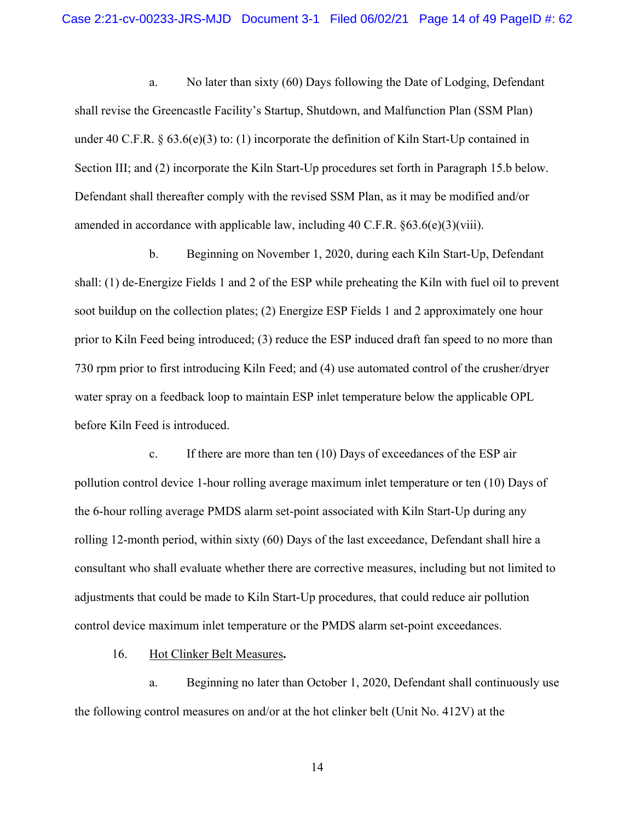a. No later than sixty (60) Days following the Date of Lodging, Defendant shall revise the Greencastle Facility's Startup, Shutdown, and Malfunction Plan (SSM Plan) under 40 C.F.R.  $\S$  63.6(e)(3) to: (1) incorporate the definition of Kiln Start-Up contained in Section III; and (2) incorporate the Kiln Start-Up procedures set forth in Paragraph 15.b below. Defendant shall thereafter comply with the revised SSM Plan, as it may be modified and/or amended in accordance with applicable law, including  $40 \text{ C.F.R. }$   $63.6(e)(3)(\text{viii})$ .

b. Beginning on November 1, 2020, during each Kiln Start-Up, Defendant shall: (1) de-Energize Fields 1 and 2 of the ESP while preheating the Kiln with fuel oil to prevent soot buildup on the collection plates; (2) Energize ESP Fields 1 and 2 approximately one hour prior to Kiln Feed being introduced; (3) reduce the ESP induced draft fan speed to no more than 730 rpm prior to first introducing Kiln Feed; and (4) use automated control of the crusher/dryer water spray on a feedback loop to maintain ESP inlet temperature below the applicable OPL before Kiln Feed is introduced.

c. If there are more than ten (10) Days of exceedances of the ESP air pollution control device 1-hour rolling average maximum inlet temperature or ten (10) Days of the 6-hour rolling average PMDS alarm set-point associated with Kiln Start-Up during any rolling 12-month period, within sixty (60) Days of the last exceedance, Defendant shall hire a consultant who shall evaluate whether there are corrective measures, including but not limited to adjustments that could be made to Kiln Start-Up procedures, that could reduce air pollution control device maximum inlet temperature or the PMDS alarm set-point exceedances.

16. Hot Clinker Belt Measures**.** 

a. Beginning no later than October 1, 2020, Defendant shall continuously use the following control measures on and/or at the hot clinker belt (Unit No. 412V) at the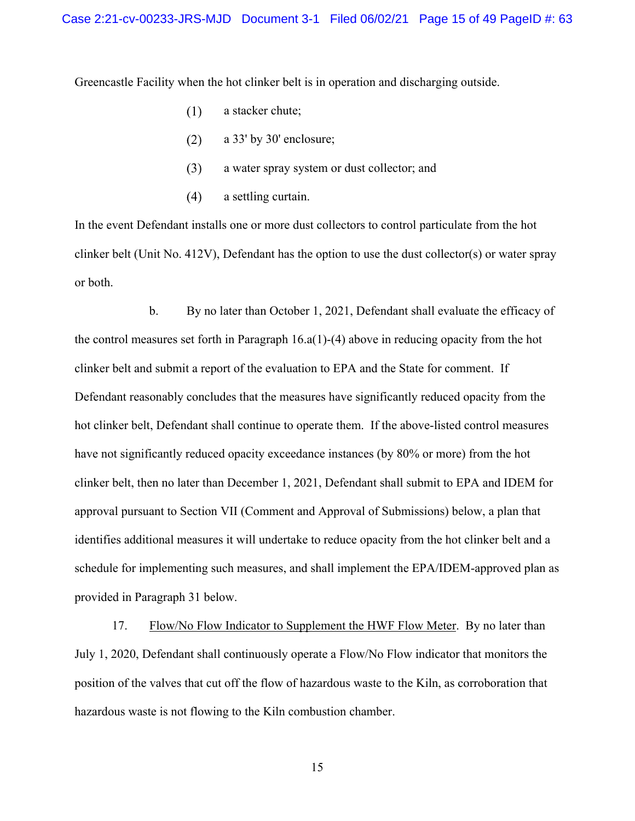Greencastle Facility when the hot clinker belt is in operation and discharging outside.

- $(1)$ a stacker chute;
- $(2)$ a 33' by 30' enclosure;
- $(3)$ a water spray system or dust collector; and
- a settling curtain.  $(4)$

In the event Defendant installs one or more dust collectors to control particulate from the hot clinker belt (Unit No. 412V), Defendant has the option to use the dust collector(s) or water spray or both.

b. By no later than October 1, 2021, Defendant shall evaluate the efficacy of the control measures set forth in Paragraph  $16.a(1)-(4)$  above in reducing opacity from the hot clinker belt and submit a report of the evaluation to EPA and the State for comment. If Defendant reasonably concludes that the measures have significantly reduced opacity from the hot clinker belt, Defendant shall continue to operate them. If the above-listed control measures have not significantly reduced opacity exceedance instances (by 80% or more) from the hot clinker belt, then no later than December 1, 2021, Defendant shall submit to EPA and IDEM for approval pursuant to Section VII (Comment and Approval of Submissions) below, a plan that identifies additional measures it will undertake to reduce opacity from the hot clinker belt and a schedule for implementing such measures, and shall implement the EPA/IDEM-approved plan as provided in Paragraph 31 below.

17. Flow/No Flow Indicator to Supplement the HWF Flow Meter. By no later than July 1, 2020, Defendant shall continuously operate a Flow/No Flow indicator that monitors the position of the valves that cut off the flow of hazardous waste to the Kiln, as corroboration that hazardous waste is not flowing to the Kiln combustion chamber.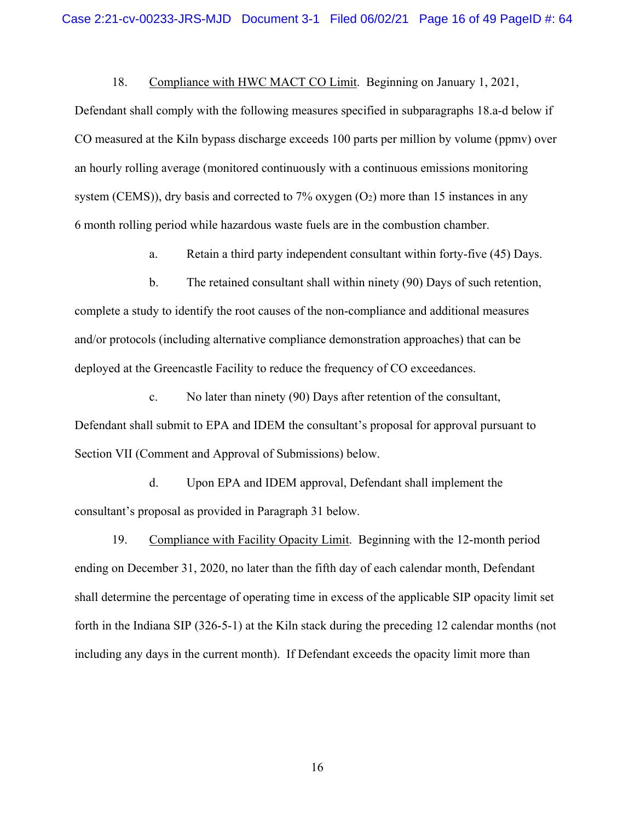18. Compliance with HWC MACT CO Limit. Beginning on January 1, 2021,

Defendant shall comply with the following measures specified in subparagraphs 18.a-d below if CO measured at the Kiln bypass discharge exceeds 100 parts per million by volume (ppmv) over an hourly rolling average (monitored continuously with a continuous emissions monitoring system (CEMS)), dry basis and corrected to 7% oxygen  $(O_2)$  more than 15 instances in any 6 month rolling period while hazardous waste fuels are in the combustion chamber.

a. Retain a third party independent consultant within forty-five (45) Days.

b. The retained consultant shall within ninety (90) Days of such retention, complete a study to identify the root causes of the non-compliance and additional measures and/or protocols (including alternative compliance demonstration approaches) that can be deployed at the Greencastle Facility to reduce the frequency of CO exceedances.

c. No later than ninety (90) Days after retention of the consultant, Defendant shall submit to EPA and IDEM the consultant's proposal for approval pursuant to Section VII (Comment and Approval of Submissions) below.

d. Upon EPA and IDEM approval, Defendant shall implement the consultant's proposal as provided in Paragraph 31 below.

19. Compliance with Facility Opacity Limit. Beginning with the 12-month period ending on December 31, 2020, no later than the fifth day of each calendar month, Defendant shall determine the percentage of operating time in excess of the applicable SIP opacity limit set forth in the Indiana SIP (326-5-1) at the Kiln stack during the preceding 12 calendar months (not including any days in the current month). If Defendant exceeds the opacity limit more than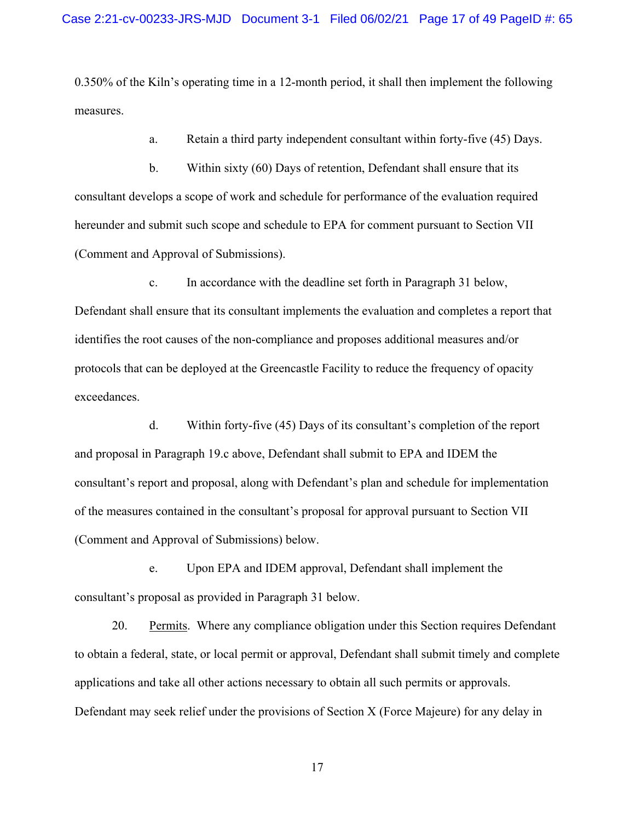0.350% of the Kiln's operating time in a 12-month period, it shall then implement the following measures.

a. Retain a third party independent consultant within forty-five (45) Days.

b. Within sixty (60) Days of retention, Defendant shall ensure that its consultant develops a scope of work and schedule for performance of the evaluation required hereunder and submit such scope and schedule to EPA for comment pursuant to Section VII (Comment and Approval of Submissions).

exceedances. c. In accordance with the deadline set forth in Paragraph 31 below, Defendant shall ensure that its consultant implements the evaluation and completes a report that identifies the root causes of the non-compliance and proposes additional measures and/or protocols that can be deployed at the Greencastle Facility to reduce the frequency of opacity

d. Within forty-five  $(45)$  Days of its consultant's completion of the report and proposal in Paragraph 19.c above, Defendant shall submit to EPA and IDEM the consultant's report and proposal, along with Defendant's plan and schedule for implementation of the measures contained in the consultant's proposal for approval pursuant to Section VII (Comment and Approval of Submissions) below.

e. Upon EPA and IDEM approval, Defendant shall implement the consultant's proposal as provided in Paragraph 31 below.

20. Permits. Where any compliance obligation under this Section requires Defendant to obtain a federal, state, or local permit or approval, Defendant shall submit timely and complete applications and take all other actions necessary to obtain all such permits or approvals. Defendant may seek relief under the provisions of Section X (Force Majeure) for any delay in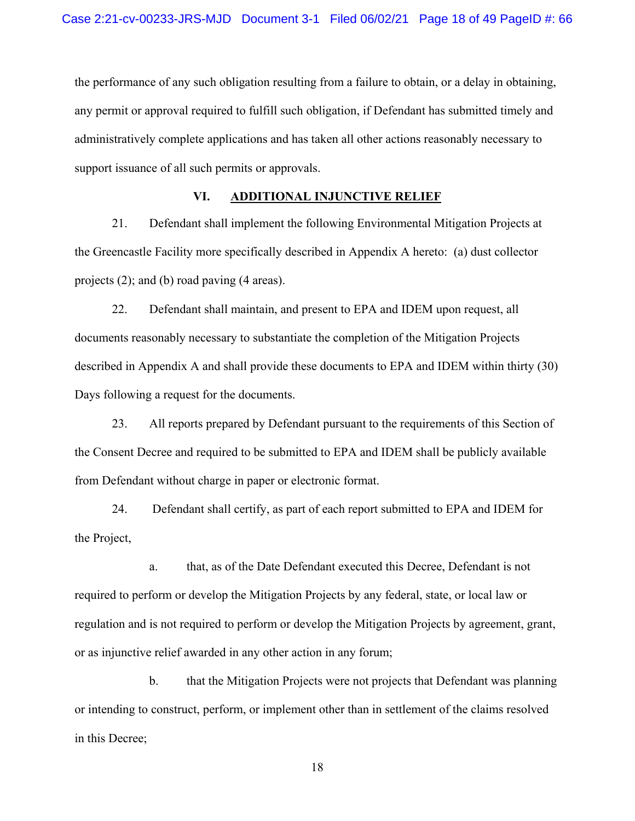the performance of any such obligation resulting from a failure to obtain, or a delay in obtaining, any permit or approval required to fulfill such obligation, if Defendant has submitted timely and administratively complete applications and has taken all other actions reasonably necessary to support issuance of all such permits or approvals.

### **VI. ADDITIONAL INJUNCTIVE RELIEF**

21. Defendant shall implement the following Environmental Mitigation Projects at the Greencastle Facility more specifically described in Appendix A hereto: (a) dust collector projects (2); and (b) road paving (4 areas).

22. Defendant shall maintain, and present to EPA and IDEM upon request, all documents reasonably necessary to substantiate the completion of the Mitigation Projects described in Appendix A and shall provide these documents to EPA and IDEM within thirty (30) Days following a request for the documents.

23. All reports prepared by Defendant pursuant to the requirements of this Section of the Consent Decree and required to be submitted to EPA and IDEM shall be publicly available from Defendant without charge in paper or electronic format.

24. Defendant shall certify, as part of each report submitted to EPA and IDEM for the Project,

a. that, as of the Date Defendant executed this Decree, Defendant is not required to perform or develop the Mitigation Projects by any federal, state, or local law or regulation and is not required to perform or develop the Mitigation Projects by agreement, grant, or as injunctive relief awarded in any other action in any forum;

b. that the Mitigation Projects were not projects that Defendant was planning or intending to construct, perform, or implement other than in settlement of the claims resolved in this Decree;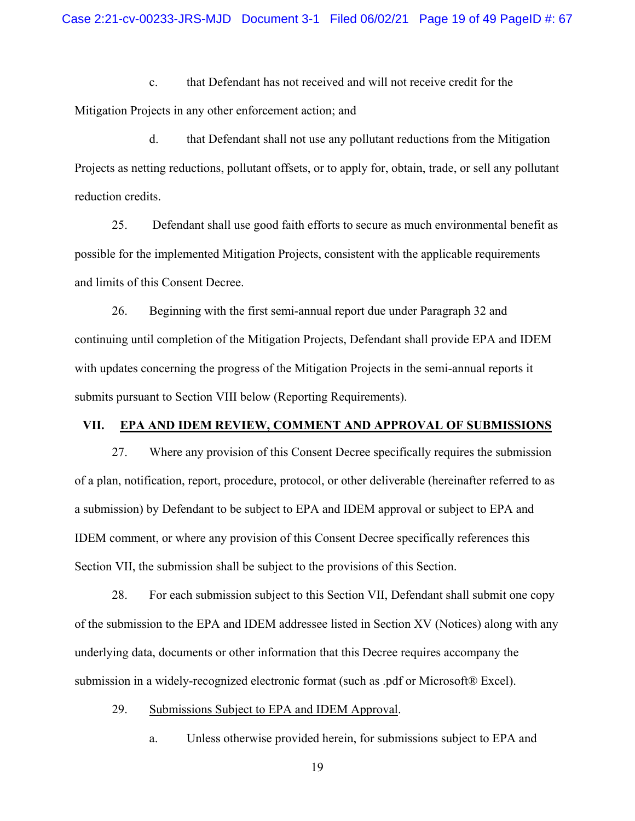c. that Defendant has not received and will not receive credit for the Mitigation Projects in any other enforcement action; and

d. that Defendant shall not use any pollutant reductions from the Mitigation Projects as netting reductions, pollutant offsets, or to apply for, obtain, trade, or sell any pollutant reduction credits.

25. Defendant shall use good faith efforts to secure as much environmental benefit as possible for the implemented Mitigation Projects, consistent with the applicable requirements and limits of this Consent Decree.

26. Beginning with the first semi-annual report due under Paragraph 32 and continuing until completion of the Mitigation Projects, Defendant shall provide EPA and IDEM with updates concerning the progress of the Mitigation Projects in the semi-annual reports it submits pursuant to Section VIII below (Reporting Requirements).

#### **VII. EPA AND IDEM REVIEW, COMMENT AND APPROVAL OF SUBMISSIONS**

27. Where any provision of this Consent Decree specifically requires the submission of a plan, notification, report, procedure, protocol, or other deliverable (hereinafter referred to as a submission) by Defendant to be subject to EPA and IDEM approval or subject to EPA and IDEM comment, or where any provision of this Consent Decree specifically references this Section VII, the submission shall be subject to the provisions of this Section.

28. For each submission subject to this Section VII, Defendant shall submit one copy of the submission to the EPA and IDEM addressee listed in Section XV (Notices) along with any underlying data, documents or other information that this Decree requires accompany the submission in a widely-recognized electronic format (such as .pdf or Microsoft® Excel).

29. Submissions Subject to EPA and IDEM Approval.

a. Unless otherwise provided herein, for submissions subject to EPA and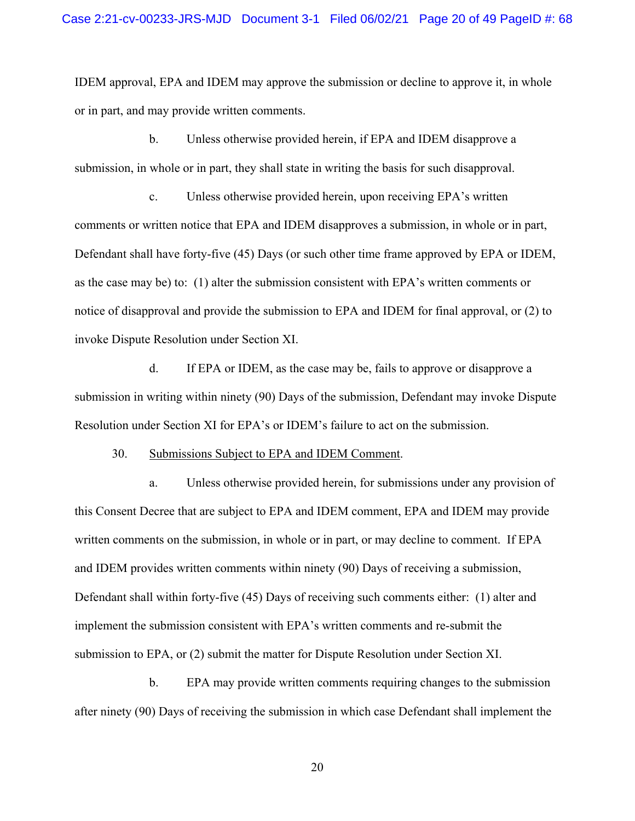IDEM approval, EPA and IDEM may approve the submission or decline to approve it, in whole or in part, and may provide written comments.

b. Unless otherwise provided herein, if EPA and IDEM disapprove a submission, in whole or in part, they shall state in writing the basis for such disapproval.

c. Unless otherwise provided herein, upon receiving EPA's written comments or written notice that EPA and IDEM disapproves a submission, in whole or in part, Defendant shall have forty-five (45) Days (or such other time frame approved by EPA or IDEM, as the case may be) to: (1) alter the submission consistent with EPA's written comments or notice of disapproval and provide the submission to EPA and IDEM for final approval, or (2) to invoke Dispute Resolution under Section XI.

d. If EPA or IDEM, as the case may be, fails to approve or disapprove a submission in writing within ninety (90) Days of the submission, Defendant may invoke Dispute Resolution under Section XI for EPA's or IDEM's failure to act on the submission.

30. Submissions Subject to EPA and IDEM Comment.

a. Unless otherwise provided herein, for submissions under any provision of this Consent Decree that are subject to EPA and IDEM comment, EPA and IDEM may provide written comments on the submission, in whole or in part, or may decline to comment. If EPA and IDEM provides written comments within ninety (90) Days of receiving a submission, Defendant shall within forty-five (45) Days of receiving such comments either: (1) alter and implement the submission consistent with EPA's written comments and re-submit the submission to EPA, or (2) submit the matter for Dispute Resolution under Section XI.

b. EPA may provide written comments requiring changes to the submission after ninety (90) Days of receiving the submission in which case Defendant shall implement the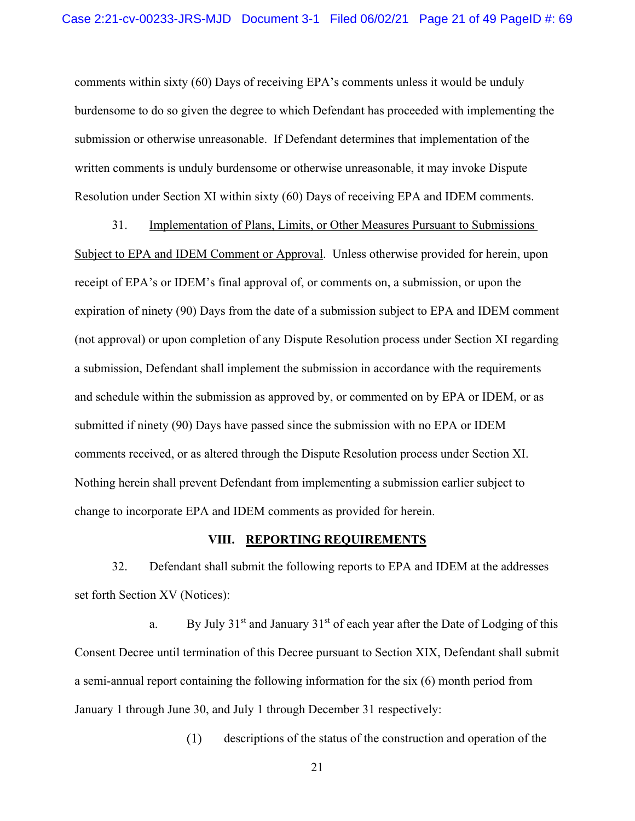comments within sixty (60) Days of receiving EPA's comments unless it would be unduly burdensome to do so given the degree to which Defendant has proceeded with implementing the submission or otherwise unreasonable. If Defendant determines that implementation of the written comments is unduly burdensome or otherwise unreasonable, it may invoke Dispute Resolution under Section XI within sixty (60) Days of receiving EPA and IDEM comments.

 change to incorporate EPA and IDEM comments as provided for herein. 31. Implementation of Plans, Limits, or Other Measures Pursuant to Submissions Subject to EPA and IDEM Comment or Approval. Unless otherwise provided for herein, upon receipt of EPA's or IDEM's final approval of, or comments on, a submission, or upon the expiration of ninety (90) Days from the date of a submission subject to EPA and IDEM comment (not approval) or upon completion of any Dispute Resolution process under Section XI regarding a submission, Defendant shall implement the submission in accordance with the requirements and schedule within the submission as approved by, or commented on by EPA or IDEM, or as submitted if ninety (90) Days have passed since the submission with no EPA or IDEM comments received, or as altered through the Dispute Resolution process under Section XI. Nothing herein shall prevent Defendant from implementing a submission earlier subject to

#### **VIII. REPORTING REQUIREMENTS**

32. Defendant shall submit the following reports to EPA and IDEM at the addresses set forth Section XV (Notices):

a. By July  $31<sup>st</sup>$  and January  $31<sup>st</sup>$  of each year after the Date of Lodging of this Consent Decree until termination of this Decree pursuant to Section XIX, Defendant shall submit a semi-annual report containing the following information for the six (6) month period from January 1 through June 30, and July 1 through December 31 respectively:

> descriptions of the status of the construction and operation of the  $(1)$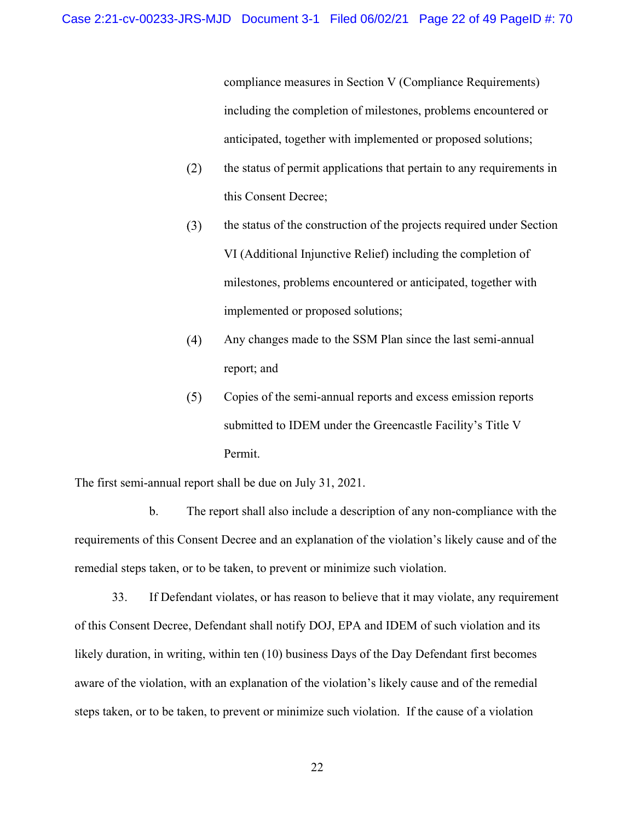compliance measures in Section V (Compliance Requirements) including the completion of milestones, problems encountered or anticipated, together with implemented or proposed solutions;

- $(2)$ the status of permit applications that pertain to any requirements in this Consent Decree;
- $(3)$ the status of the construction of the projects required under Section VI (Additional Injunctive Relief) including the completion of milestones, problems encountered or anticipated, together with implemented or proposed solutions;
- Any changes made to the SSM Plan since the last semi-annual  $(4)$ report; and
- $(5)$ Copies of the semi-annual reports and excess emission reports submitted to IDEM under the Greencastle Facility's Title V Permit.

The first semi-annual report shall be due on July 31, 2021.

b. The report shall also include a description of any non-compliance with the requirements of this Consent Decree and an explanation of the violation's likely cause and of the remedial steps taken, or to be taken, to prevent or minimize such violation.

33. If Defendant violates, or has reason to believe that it may violate, any requirement of this Consent Decree, Defendant shall notify DOJ, EPA and IDEM of such violation and its likely duration, in writing, within ten (10) business Days of the Day Defendant first becomes aware of the violation, with an explanation of the violation's likely cause and of the remedial steps taken, or to be taken, to prevent or minimize such violation. If the cause of a violation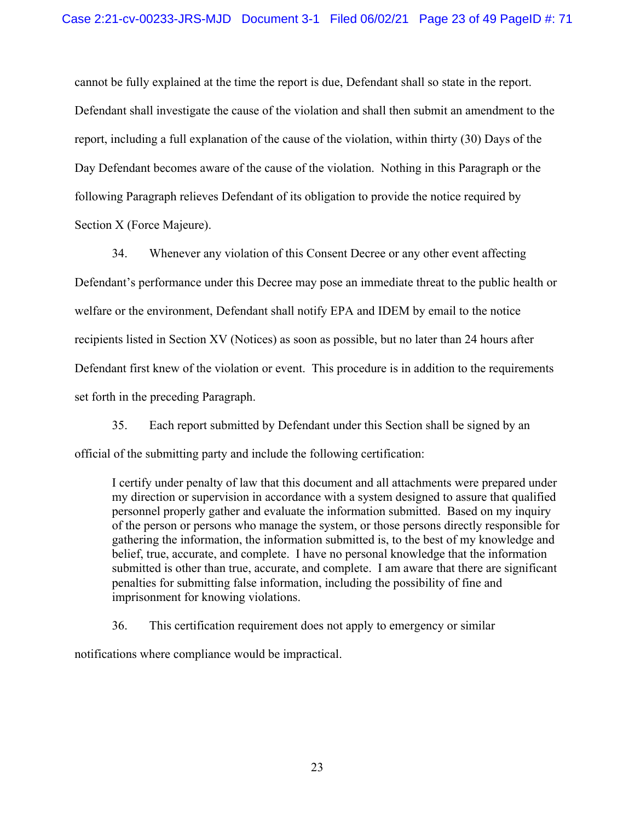cannot be fully explained at the time the report is due, Defendant shall so state in the report. Defendant shall investigate the cause of the violation and shall then submit an amendment to the report, including a full explanation of the cause of the violation, within thirty (30) Days of the Day Defendant becomes aware of the cause of the violation. Nothing in this Paragraph or the following Paragraph relieves Defendant of its obligation to provide the notice required by Section X (Force Majeure).

34. Whenever any violation of this Consent Decree or any other event affecting Defendant's performance under this Decree may pose an immediate threat to the public health or welfare or the environment, Defendant shall notify EPA and IDEM by email to the notice recipients listed in Section XV (Notices) as soon as possible, but no later than 24 hours after Defendant first knew of the violation or event. This procedure is in addition to the requirements set forth in the preceding Paragraph.

35. Each report submitted by Defendant under this Section shall be signed by an official of the submitting party and include the following certification:

I certify under penalty of law that this document and all attachments were prepared under my direction or supervision in accordance with a system designed to assure that qualified personnel properly gather and evaluate the information submitted. Based on my inquiry of the person or persons who manage the system, or those persons directly responsible for gathering the information, the information submitted is, to the best of my knowledge and belief, true, accurate, and complete. I have no personal knowledge that the information submitted is other than true, accurate, and complete. I am aware that there are significant penalties for submitting false information, including the possibility of fine and imprisonment for knowing violations.

36. This certification requirement does not apply to emergency or similar

notifications where compliance would be impractical.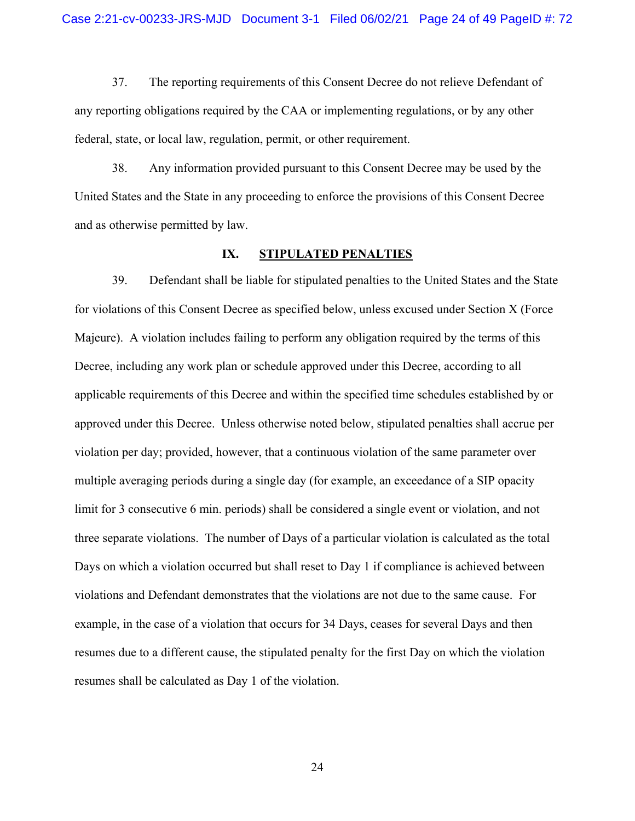37. The reporting requirements of this Consent Decree do not relieve Defendant of any reporting obligations required by the CAA or implementing regulations, or by any other federal, state, or local law, regulation, permit, or other requirement.

38. Any information provided pursuant to this Consent Decree may be used by the United States and the State in any proceeding to enforce the provisions of this Consent Decree and as otherwise permitted by law.

#### **IX. STIPULATED PENALTIES**

39. Defendant shall be liable for stipulated penalties to the United States and the State for violations of this Consent Decree as specified below, unless excused under Section X (Force Majeure). A violation includes failing to perform any obligation required by the terms of this Decree, including any work plan or schedule approved under this Decree, according to all applicable requirements of this Decree and within the specified time schedules established by or approved under this Decree. Unless otherwise noted below, stipulated penalties shall accrue per violation per day; provided, however, that a continuous violation of the same parameter over multiple averaging periods during a single day (for example, an exceedance of a SIP opacity limit for 3 consecutive 6 min. periods) shall be considered a single event or violation, and not three separate violations. The number of Days of a particular violation is calculated as the total Days on which a violation occurred but shall reset to Day 1 if compliance is achieved between violations and Defendant demonstrates that the violations are not due to the same cause. For example, in the case of a violation that occurs for 34 Days, ceases for several Days and then resumes due to a different cause, the stipulated penalty for the first Day on which the violation resumes shall be calculated as Day 1 of the violation.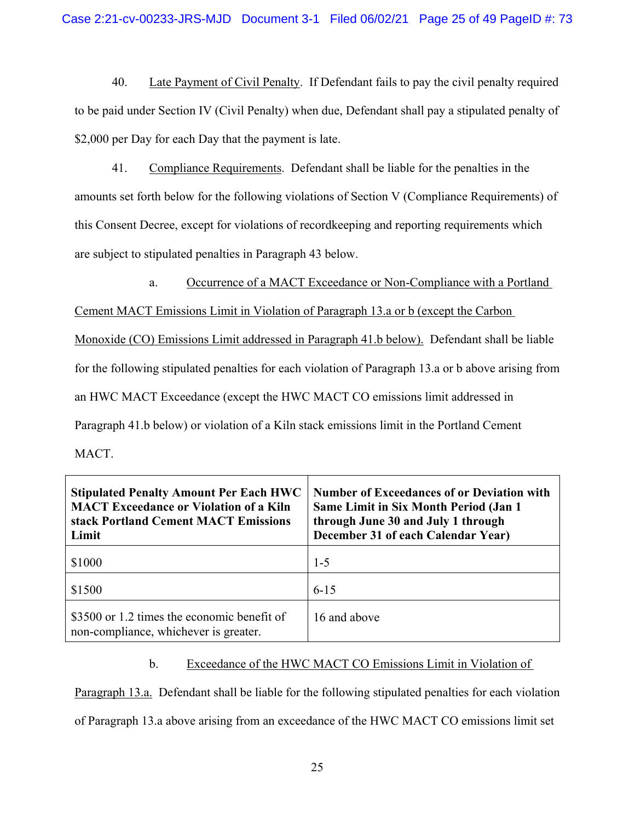40. Late Payment of Civil Penalty. If Defendant fails to pay the civil penalty required to be paid under Section IV (Civil Penalty) when due, Defendant shall pay a stipulated penalty of \$2,000 per Day for each Day that the payment is late.

41. Compliance Requirements. Defendant shall be liable for the penalties in the amounts set forth below for the following violations of Section V (Compliance Requirements) of this Consent Decree, except for violations of recordkeeping and reporting requirements which are subject to stipulated penalties in Paragraph 43 below.

a. Occurrence of a MACT Exceedance or Non-Compliance with a Portland

Cement MACT Emissions Limit in Violation of Paragraph 13.a or b (except the Carbon

Monoxide (CO) Emissions Limit addressed in Paragraph 41.b below). Defendant shall be liable

for the following stipulated penalties for each violation of Paragraph 13.a or b above arising from

an HWC MACT Exceedance (except the HWC MACT CO emissions limit addressed in

Paragraph 41.b below) or violation of a Kiln stack emissions limit in the Portland Cement

MACT.

| <b>Stipulated Penalty Amount Per Each HWC</b><br><b>MACT Exceedance or Violation of a Kiln</b><br>stack Portland Cement MACT Emissions<br>Limit | <b>Number of Exceedances of or Deviation with</b><br><b>Same Limit in Six Month Period (Jan 1)</b><br>through June 30 and July 1 through<br>December 31 of each Calendar Year) |
|-------------------------------------------------------------------------------------------------------------------------------------------------|--------------------------------------------------------------------------------------------------------------------------------------------------------------------------------|
| \$1000                                                                                                                                          | $1 - 5$                                                                                                                                                                        |
| \$1500                                                                                                                                          | $6 - 15$                                                                                                                                                                       |
| \$3500 or 1.2 times the economic benefit of<br>non-compliance, whichever is greater.                                                            | 16 and above                                                                                                                                                                   |

# b. Exceedance of the HWC MACT CO Emissions Limit in Violation of

Paragraph 13.a. Defendant shall be liable for the following stipulated penalties for each violation of Paragraph 13.a above arising from an exceedance of the HWC MACT CO emissions limit set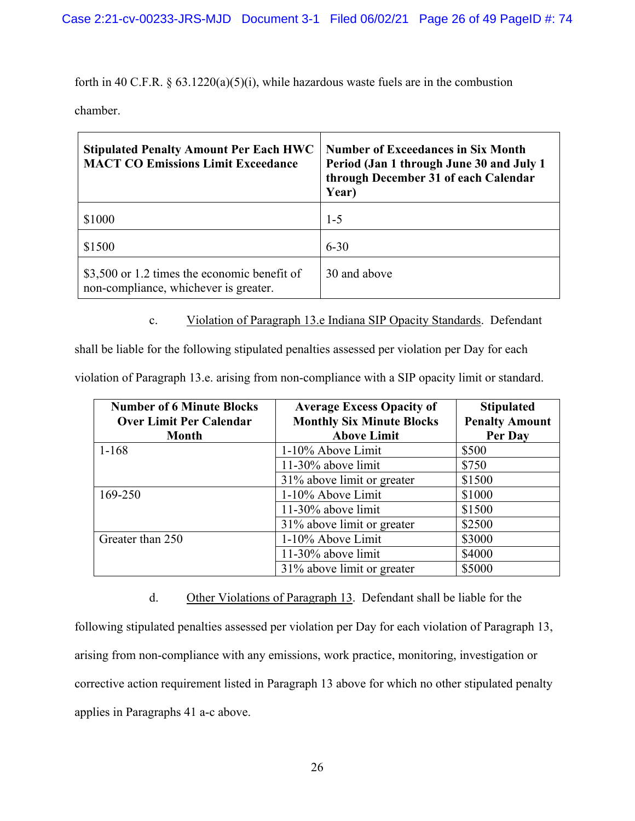forth in 40 C.F.R.  $\S$  63.1220(a)(5)(i), while hazardous waste fuels are in the combustion

chamber.

| <b>Stipulated Penalty Amount Per Each HWC</b><br><b>MACT CO Emissions Limit Exceedance</b> | <b>Number of Exceedances in Six Month</b><br>Period (Jan 1 through June 30 and July 1<br>through December 31 of each Calendar<br>Year) |
|--------------------------------------------------------------------------------------------|----------------------------------------------------------------------------------------------------------------------------------------|
| \$1000                                                                                     | $1 - 5$                                                                                                                                |
| \$1500                                                                                     | $6 - 30$                                                                                                                               |
| \$3,500 or 1.2 times the economic benefit of<br>non-compliance, whichever is greater.      | 30 and above                                                                                                                           |

c. Violation of Paragraph 13.e Indiana SIP Opacity Standards. Defendant

shall be liable for the following stipulated penalties assessed per violation per Day for each

violation of Paragraph 13.e. arising from non-compliance with a SIP opacity limit or standard.

| <b>Number of 6 Minute Blocks</b><br><b>Over Limit Per Calendar</b> | <b>Average Excess Opacity of</b><br><b>Monthly Six Minute Blocks</b> | <b>Stipulated</b><br><b>Penalty Amount</b> |
|--------------------------------------------------------------------|----------------------------------------------------------------------|--------------------------------------------|
| <b>Month</b>                                                       | <b>Above Limit</b>                                                   | Per Day                                    |
| $1 - 168$                                                          | 1-10% Above Limit                                                    | \$500                                      |
|                                                                    | $11-30\%$ above limit                                                | \$750                                      |
|                                                                    | 31% above limit or greater                                           | \$1500                                     |
| 169-250                                                            | 1-10% Above Limit                                                    | \$1000                                     |
|                                                                    | $11-30\%$ above limit                                                | \$1500                                     |
|                                                                    | 31% above limit or greater                                           | \$2500                                     |
| Greater than 250                                                   | 1-10% Above Limit                                                    | \$3000                                     |
|                                                                    | 11-30% above limit                                                   | \$4000                                     |
|                                                                    | 31% above limit or greater                                           | \$5000                                     |

d. Other Violations of Paragraph 13. Defendant shall be liable for the

following stipulated penalties assessed per violation per Day for each violation of Paragraph 13, arising from non-compliance with any emissions, work practice, monitoring, investigation or corrective action requirement listed in Paragraph 13 above for which no other stipulated penalty applies in Paragraphs 41 a-c above.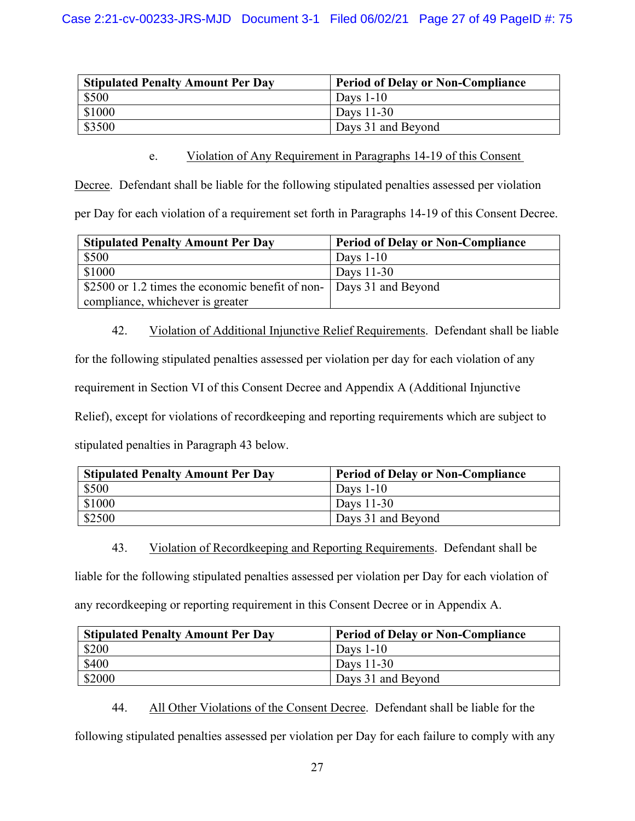| <b>Stipulated Penalty Amount Per Day</b> | <b>Period of Delay or Non-Compliance</b> |  |
|------------------------------------------|------------------------------------------|--|
| \$500                                    | Days $1-10$                              |  |
| \$1000                                   | Days 11-30                               |  |
| \$3500                                   | Days 31 and Beyond                       |  |

e. Violation of Any Requirement in Paragraphs 14-19 of this Consent

Decree. Defendant shall be liable for the following stipulated penalties assessed per violation

per Day for each violation of a requirement set forth in Paragraphs 14-19 of this Consent Decree.

| <b>Stipulated Penalty Amount Per Day</b>                           | <b>Period of Delay or Non-Compliance</b> |
|--------------------------------------------------------------------|------------------------------------------|
| \$500                                                              | Days $1-10$                              |
| \$1000                                                             | Days $11-30$                             |
| S2500 or 1.2 times the economic benefit of non- Days 31 and Beyond |                                          |
| compliance, whichever is greater                                   |                                          |

42. Violation of Additional Injunctive Relief Requirements. Defendant shall be liable

for the following stipulated penalties assessed per violation per day for each violation of any

requirement in Section VI of this Consent Decree and Appendix A (Additional Injunctive

Relief), except for violations of recordkeeping and reporting requirements which are subject to

stipulated penalties in Paragraph 43 below.

| <b>Stipulated Penalty Amount Per Day</b> | <b>Period of Delay or Non-Compliance</b> |
|------------------------------------------|------------------------------------------|
| \$500                                    | Days $1-10$                              |
| \$1000                                   | Days $11-30$                             |
| \$2500                                   | Days 31 and Beyond                       |

43. Violation of Recordkeeping and Reporting Requirements. Defendant shall be

liable for the following stipulated penalties assessed per violation per Day for each violation of

any recordkeeping or reporting requirement in this Consent Decree or in Appendix A.

| <b>Stipulated Penalty Amount Per Day</b> | <b>Period of Delay or Non-Compliance</b> |  |
|------------------------------------------|------------------------------------------|--|
| \$200                                    | Days $1-10$                              |  |
| \$400                                    | Days 11-30                               |  |
| \$2000                                   | Days 31 and Beyond                       |  |

44. All Other Violations of the Consent Decree. Defendant shall be liable for the

following stipulated penalties assessed per violation per Day for each failure to comply with any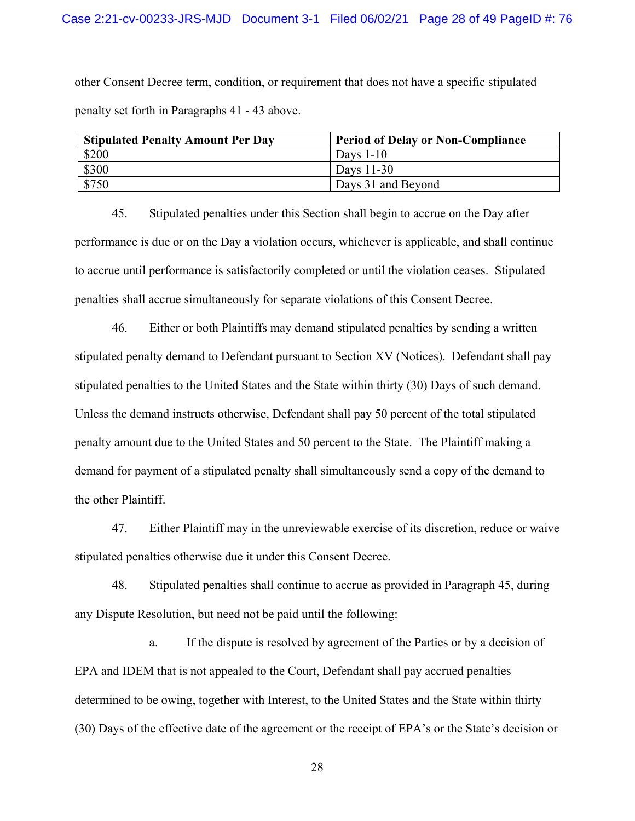other Consent Decree term, condition, or requirement that does not have a specific stipulated penalty set forth in Paragraphs 41 - 43 above.

| <b>Stipulated Penalty Amount Per Day</b> | <b>Period of Delay or Non-Compliance</b> |  |
|------------------------------------------|------------------------------------------|--|
| \$200                                    | Days $1-10$                              |  |
| \$300                                    | Days 11-30                               |  |
| \$750                                    | Days 31 and Beyond                       |  |

45. Stipulated penalties under this Section shall begin to accrue on the Day after performance is due or on the Day a violation occurs, whichever is applicable, and shall continue to accrue until performance is satisfactorily completed or until the violation ceases. Stipulated penalties shall accrue simultaneously for separate violations of this Consent Decree.

46. Either or both Plaintiffs may demand stipulated penalties by sending a written stipulated penalty demand to Defendant pursuant to Section XV (Notices). Defendant shall pay stipulated penalties to the United States and the State within thirty (30) Days of such demand. Unless the demand instructs otherwise, Defendant shall pay 50 percent of the total stipulated penalty amount due to the United States and 50 percent to the State. The Plaintiff making a demand for payment of a stipulated penalty shall simultaneously send a copy of the demand to the other Plaintiff.

47. Either Plaintiff may in the unreviewable exercise of its discretion, reduce or waive stipulated penalties otherwise due it under this Consent Decree.

48. Stipulated penalties shall continue to accrue as provided in Paragraph 45, during any Dispute Resolution, but need not be paid until the following:

a. If the dispute is resolved by agreement of the Parties or by a decision of EPA and IDEM that is not appealed to the Court, Defendant shall pay accrued penalties determined to be owing, together with Interest, to the United States and the State within thirty (30) Days of the effective date of the agreement or the receipt of EPA's or the State's decision or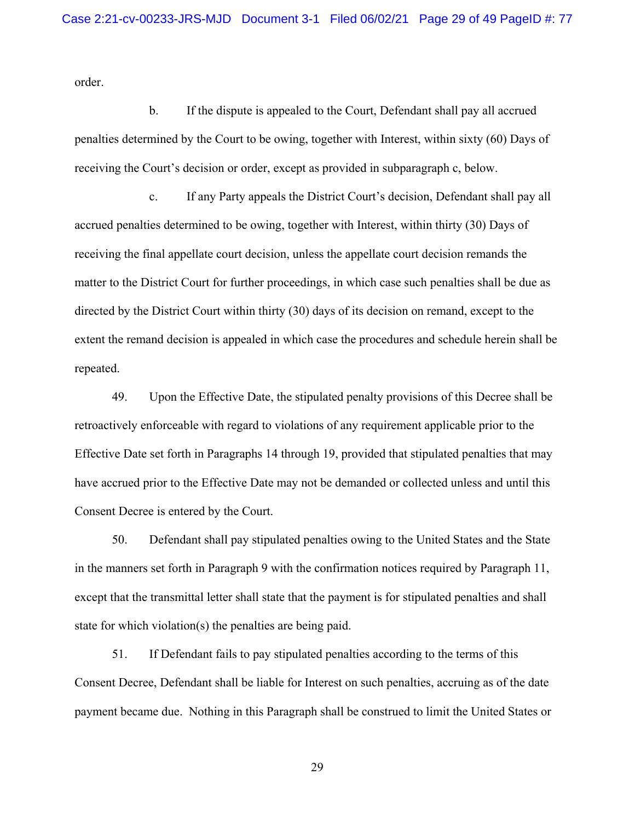order.

b. If the dispute is appealed to the Court, Defendant shall pay all accrued penalties determined by the Court to be owing, together with Interest, within sixty (60) Days of receiving the Court's decision or order, except as provided in subparagraph c, below.

c. If any Party appeals the District Court's decision, Defendant shall pay all accrued penalties determined to be owing, together with Interest, within thirty (30) Days of receiving the final appellate court decision, unless the appellate court decision remands the matter to the District Court for further proceedings, in which case such penalties shall be due as directed by the District Court within thirty (30) days of its decision on remand, except to the extent the remand decision is appealed in which case the procedures and schedule herein shall be repeated.

49. Upon the Effective Date, the stipulated penalty provisions of this Decree shall be retroactively enforceable with regard to violations of any requirement applicable prior to the Effective Date set forth in Paragraphs 14 through 19, provided that stipulated penalties that may have accrued prior to the Effective Date may not be demanded or collected unless and until this Consent Decree is entered by the Court.

50. Defendant shall pay stipulated penalties owing to the United States and the State in the manners set forth in Paragraph 9 with the confirmation notices required by Paragraph 11, except that the transmittal letter shall state that the payment is for stipulated penalties and shall state for which violation(s) the penalties are being paid.

51. If Defendant fails to pay stipulated penalties according to the terms of this Consent Decree, Defendant shall be liable for Interest on such penalties, accruing as of the date payment became due. Nothing in this Paragraph shall be construed to limit the United States or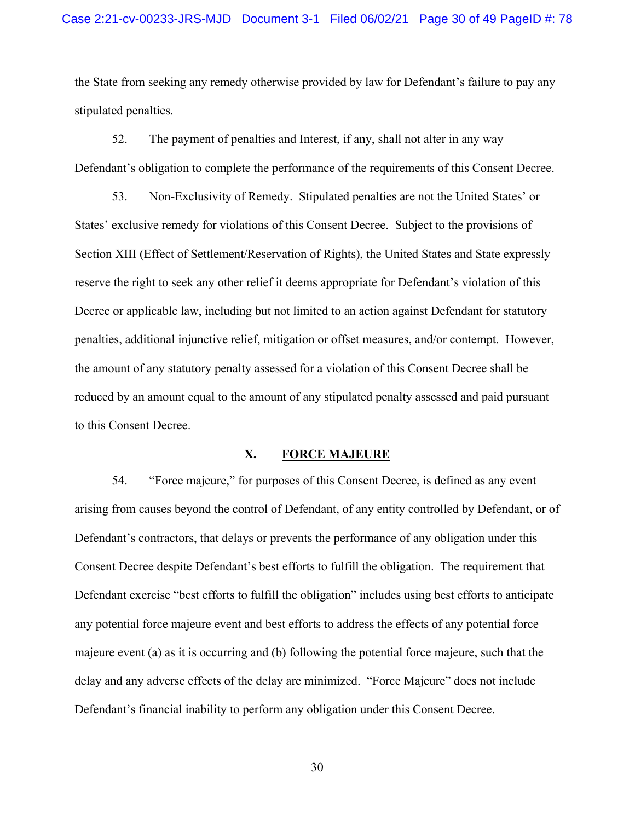the State from seeking any remedy otherwise provided by law for Defendant's failure to pay any stipulated penalties.

52. The payment of penalties and Interest, if any, shall not alter in any way Defendant's obligation to complete the performance of the requirements of this Consent Decree.

53. Non-Exclusivity of Remedy. Stipulated penalties are not the United States' or States' exclusive remedy for violations of this Consent Decree. Subject to the provisions of Section XIII (Effect of Settlement/Reservation of Rights), the United States and State expressly reserve the right to seek any other relief it deems appropriate for Defendant's violation of this Decree or applicable law, including but not limited to an action against Defendant for statutory penalties, additional injunctive relief, mitigation or offset measures, and/or contempt. However, the amount of any statutory penalty assessed for a violation of this Consent Decree shall be reduced by an amount equal to the amount of any stipulated penalty assessed and paid pursuant to this Consent Decree.

#### **X. FORCE MAJEURE**

54. "Force majeure," for purposes of this Consent Decree, is defined as any event arising from causes beyond the control of Defendant, of any entity controlled by Defendant, or of Defendant's contractors, that delays or prevents the performance of any obligation under this Consent Decree despite Defendant's best efforts to fulfill the obligation. The requirement that Defendant exercise "best efforts to fulfill the obligation" includes using best efforts to anticipate any potential force majeure event and best efforts to address the effects of any potential force majeure event (a) as it is occurring and (b) following the potential force majeure, such that the delay and any adverse effects of the delay are minimized. "Force Majeure" does not include Defendant's financial inability to perform any obligation under this Consent Decree.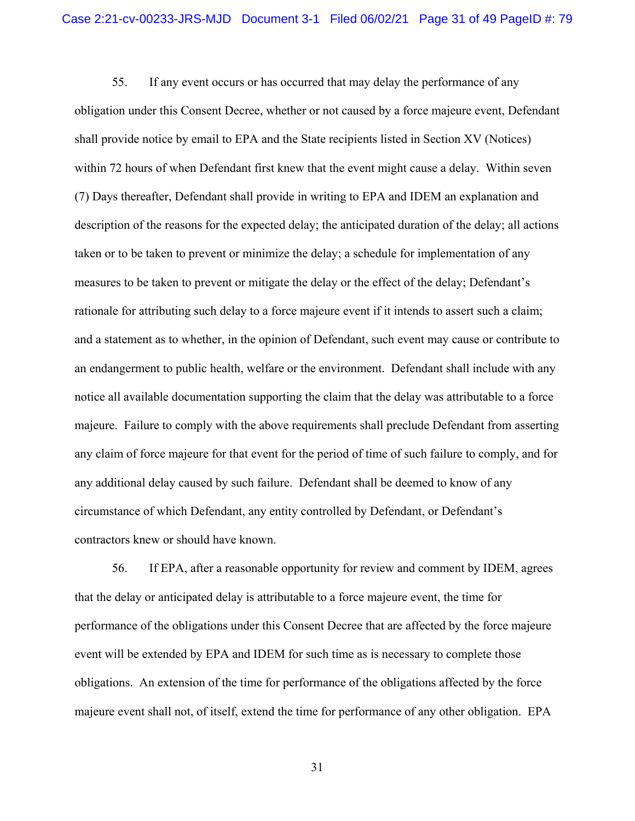55. If any event occurs or has occurred that may delay the performance of any obligation under this Consent Decree, whether or not caused by a force majeure event, Defendant shall provide notice by email to EPA and the State recipients listed in Section XV (Notices) within 72 hours of when Defendant first knew that the event might cause a delay. Within seven (7) Days thereafter, Defendant shall provide in writing to EPA and IDEM an explanation and description of the reasons for the expected delay; the anticipated duration of the delay; all actions taken or to be taken to prevent or minimize the delay; a schedule for implementation of any measures to be taken to prevent or mitigate the delay or the effect of the delay; Defendant's rationale for attributing such delay to a force majeure event if it intends to assert such a claim; and a statement as to whether, in the opinion of Defendant, such event may cause or contribute to an endangerment to public health, welfare or the environment. Defendant shall include with any notice all available documentation supporting the claim that the delay was attributable to a force majeure. Failure to comply with the above requirements shall preclude Defendant from asserting any claim of force majeure for that event for the period of time of such failure to comply, and for any additional delay caused by such failure. Defendant shall be deemed to know of any circumstance of which Defendant, any entity controlled by Defendant, or Defendant's contractors knew or should have known.

56. If EPA, after a reasonable opportunity for review and comment by IDEM, agrees that the delay or anticipated delay is attributable to a force majeure event, the time for performance of the obligations under this Consent Decree that are affected by the force majeure event will be extended by EPA and IDEM for such time as is necessary to complete those obligations. An extension of the time for performance of the obligations affected by the force majeure event shall not, of itself, extend the time for performance of any other obligation. EPA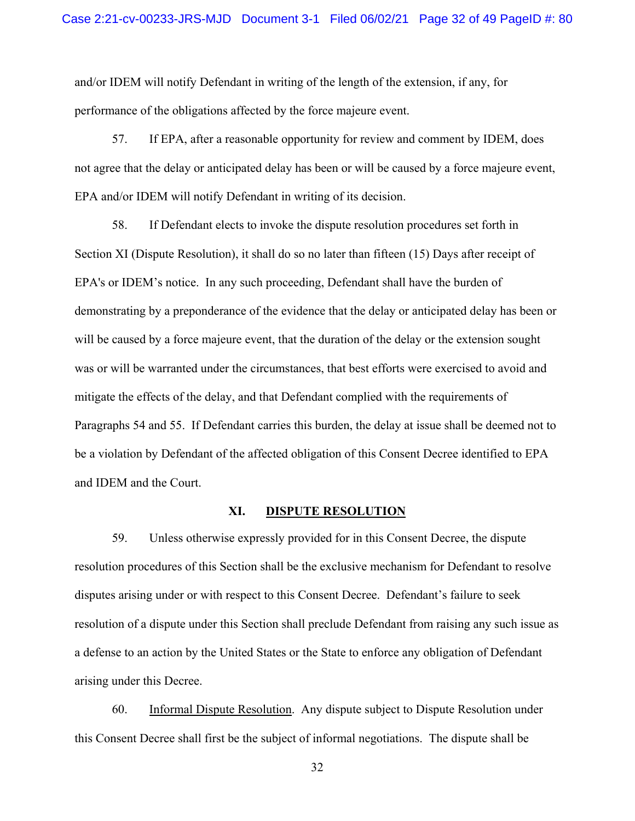and/or IDEM will notify Defendant in writing of the length of the extension, if any, for performance of the obligations affected by the force majeure event.

57. If EPA, after a reasonable opportunity for review and comment by IDEM, does not agree that the delay or anticipated delay has been or will be caused by a force majeure event, EPA and/or IDEM will notify Defendant in writing of its decision.

58. If Defendant elects to invoke the dispute resolution procedures set forth in Section XI (Dispute Resolution), it shall do so no later than fifteen (15) Days after receipt of EPA's or IDEM's notice. In any such proceeding, Defendant shall have the burden of demonstrating by a preponderance of the evidence that the delay or anticipated delay has been or will be caused by a force majeure event, that the duration of the delay or the extension sought was or will be warranted under the circumstances, that best efforts were exercised to avoid and mitigate the effects of the delay, and that Defendant complied with the requirements of Paragraphs 54 and 55. If Defendant carries this burden, the delay at issue shall be deemed not to be a violation by Defendant of the affected obligation of this Consent Decree identified to EPA and IDEM and the Court.

#### **XI. DISPUTE RESOLUTION**

59. Unless otherwise expressly provided for in this Consent Decree, the dispute resolution procedures of this Section shall be the exclusive mechanism for Defendant to resolve disputes arising under or with respect to this Consent Decree. Defendant's failure to seek resolution of a dispute under this Section shall preclude Defendant from raising any such issue as a defense to an action by the United States or the State to enforce any obligation of Defendant arising under this Decree.

60. Informal Dispute Resolution. Any dispute subject to Dispute Resolution under this Consent Decree shall first be the subject of informal negotiations. The dispute shall be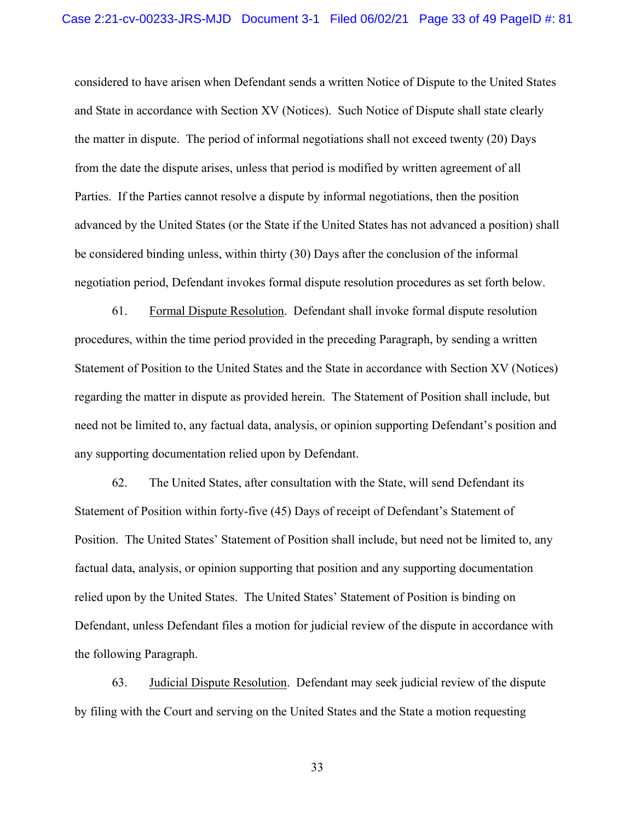considered to have arisen when Defendant sends a written Notice of Dispute to the United States and State in accordance with Section XV (Notices). Such Notice of Dispute shall state clearly the matter in dispute. The period of informal negotiations shall not exceed twenty (20) Days from the date the dispute arises, unless that period is modified by written agreement of all Parties. If the Parties cannot resolve a dispute by informal negotiations, then the position advanced by the United States (or the State if the United States has not advanced a position) shall be considered binding unless, within thirty (30) Days after the conclusion of the informal negotiation period, Defendant invokes formal dispute resolution procedures as set forth below.

61. Formal Dispute Resolution. Defendant shall invoke formal dispute resolution procedures, within the time period provided in the preceding Paragraph, by sending a written Statement of Position to the United States and the State in accordance with Section XV (Notices) regarding the matter in dispute as provided herein. The Statement of Position shall include, but need not be limited to, any factual data, analysis, or opinion supporting Defendant's position and any supporting documentation relied upon by Defendant.

62. The United States, after consultation with the State, will send Defendant its Statement of Position within forty-five (45) Days of receipt of Defendant's Statement of Position. The United States' Statement of Position shall include, but need not be limited to, any factual data, analysis, or opinion supporting that position and any supporting documentation relied upon by the United States. The United States' Statement of Position is binding on Defendant, unless Defendant files a motion for judicial review of the dispute in accordance with the following Paragraph.

63. Judicial Dispute Resolution. Defendant may seek judicial review of the dispute by filing with the Court and serving on the United States and the State a motion requesting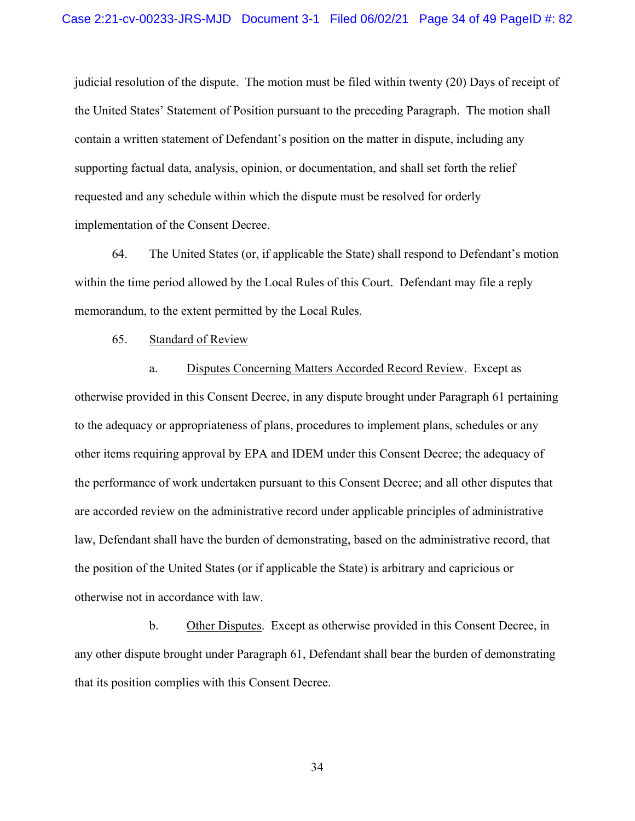judicial resolution of the dispute. The motion must be filed within twenty (20) Days of receipt of the United States' Statement of Position pursuant to the preceding Paragraph. The motion shall contain a written statement of Defendant's position on the matter in dispute, including any supporting factual data, analysis, opinion, or documentation, and shall set forth the relief requested and any schedule within which the dispute must be resolved for orderly implementation of the Consent Decree.

64. The United States (or, if applicable the State) shall respond to Defendant's motion within the time period allowed by the Local Rules of this Court. Defendant may file a reply memorandum, to the extent permitted by the Local Rules.

65. Standard of Review

a. Disputes Concerning Matters Accorded Record Review. Except as otherwise provided in this Consent Decree, in any dispute brought under Paragraph 61 pertaining to the adequacy or appropriateness of plans, procedures to implement plans, schedules or any other items requiring approval by EPA and IDEM under this Consent Decree; the adequacy of the performance of work undertaken pursuant to this Consent Decree; and all other disputes that are accorded review on the administrative record under applicable principles of administrative law, Defendant shall have the burden of demonstrating, based on the administrative record, that the position of the United States (or if applicable the State) is arbitrary and capricious or otherwise not in accordance with law.

b. Other Disputes. Except as otherwise provided in this Consent Decree, in any other dispute brought under Paragraph 61, Defendant shall bear the burden of demonstrating that its position complies with this Consent Decree.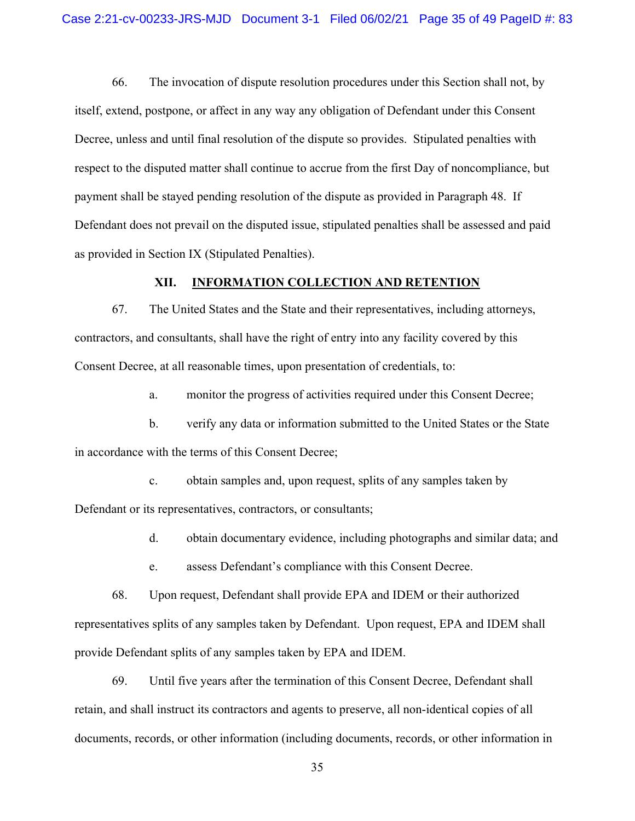66. The invocation of dispute resolution procedures under this Section shall not, by itself, extend, postpone, or affect in any way any obligation of Defendant under this Consent Decree, unless and until final resolution of the dispute so provides. Stipulated penalties with respect to the disputed matter shall continue to accrue from the first Day of noncompliance, but payment shall be stayed pending resolution of the dispute as provided in Paragraph 48. If Defendant does not prevail on the disputed issue, stipulated penalties shall be assessed and paid as provided in Section IX (Stipulated Penalties).

#### **XII. INFORMATION COLLECTION AND RETENTION**

67. The United States and the State and their representatives, including attorneys, contractors, and consultants, shall have the right of entry into any facility covered by this Consent Decree, at all reasonable times, upon presentation of credentials, to:

a. monitor the progress of activities required under this Consent Decree;

b. verify any data or information submitted to the United States or the State in accordance with the terms of this Consent Decree;

c. obtain samples and, upon request, splits of any samples taken by Defendant or its representatives, contractors, or consultants;

d. obtain documentary evidence, including photographs and similar data; and

e. assess Defendant's compliance with this Consent Decree.

68. Upon request, Defendant shall provide EPA and IDEM or their authorized representatives splits of any samples taken by Defendant. Upon request, EPA and IDEM shall provide Defendant splits of any samples taken by EPA and IDEM.

69. Until five years after the termination of this Consent Decree, Defendant shall retain, and shall instruct its contractors and agents to preserve, all non-identical copies of all documents, records, or other information (including documents, records, or other information in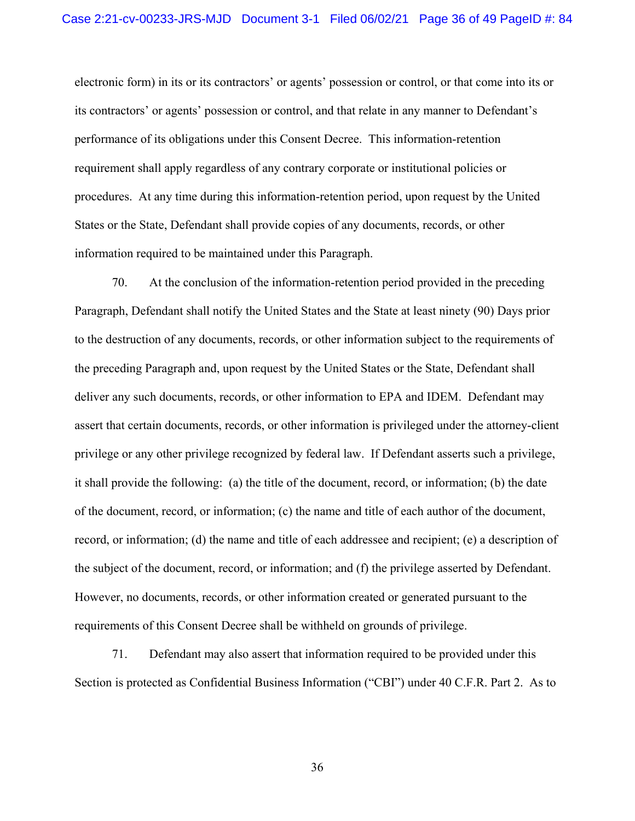electronic form) in its or its contractors' or agents' possession or control, or that come into its or its contractors' or agents' possession or control, and that relate in any manner to Defendant's performance of its obligations under this Consent Decree. This information-retention requirement shall apply regardless of any contrary corporate or institutional policies or procedures. At any time during this information-retention period, upon request by the United States or the State, Defendant shall provide copies of any documents, records, or other information required to be maintained under this Paragraph.

70. At the conclusion of the information-retention period provided in the preceding Paragraph, Defendant shall notify the United States and the State at least ninety (90) Days prior to the destruction of any documents, records, or other information subject to the requirements of the preceding Paragraph and, upon request by the United States or the State, Defendant shall deliver any such documents, records, or other information to EPA and IDEM. Defendant may assert that certain documents, records, or other information is privileged under the attorney-client privilege or any other privilege recognized by federal law. If Defendant asserts such a privilege, it shall provide the following: (a) the title of the document, record, or information; (b) the date of the document, record, or information; (c) the name and title of each author of the document, record, or information; (d) the name and title of each addressee and recipient; (e) a description of the subject of the document, record, or information; and (f) the privilege asserted by Defendant. However, no documents, records, or other information created or generated pursuant to the requirements of this Consent Decree shall be withheld on grounds of privilege.

71. Defendant may also assert that information required to be provided under this Section is protected as Confidential Business Information ("CBI") under 40 C.F.R. Part 2. As to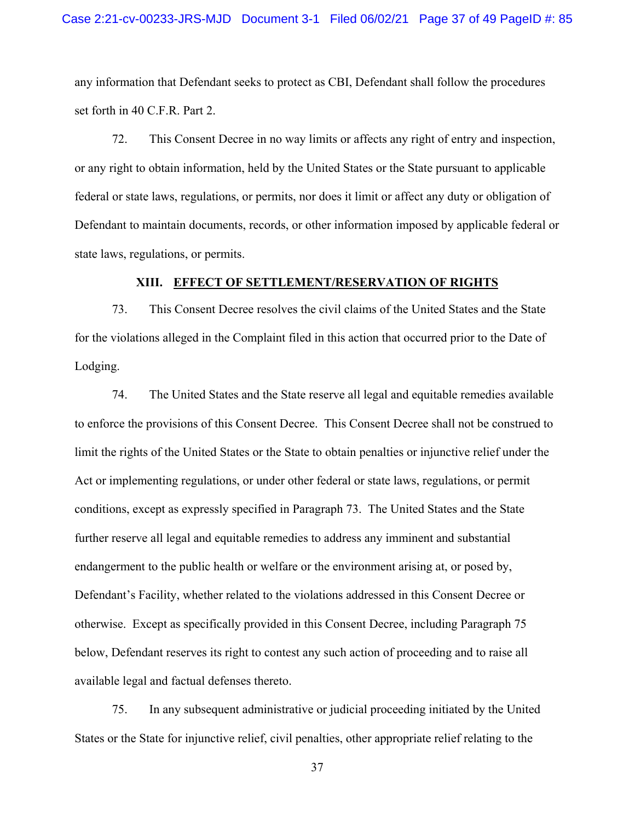any information that Defendant seeks to protect as CBI, Defendant shall follow the procedures set forth in 40 C.F.R. Part 2.

72. This Consent Decree in no way limits or affects any right of entry and inspection, or any right to obtain information, held by the United States or the State pursuant to applicable federal or state laws, regulations, or permits, nor does it limit or affect any duty or obligation of Defendant to maintain documents, records, or other information imposed by applicable federal or state laws, regulations, or permits.

#### **XIII. EFFECT OF SETTLEMENT/RESERVATION OF RIGHTS**

73. This Consent Decree resolves the civil claims of the United States and the State for the violations alleged in the Complaint filed in this action that occurred prior to the Date of Lodging.

74. The United States and the State reserve all legal and equitable remedies available to enforce the provisions of this Consent Decree. This Consent Decree shall not be construed to limit the rights of the United States or the State to obtain penalties or injunctive relief under the Act or implementing regulations, or under other federal or state laws, regulations, or permit conditions, except as expressly specified in Paragraph 73. The United States and the State further reserve all legal and equitable remedies to address any imminent and substantial endangerment to the public health or welfare or the environment arising at, or posed by, Defendant's Facility, whether related to the violations addressed in this Consent Decree or otherwise. Except as specifically provided in this Consent Decree, including Paragraph 75 below, Defendant reserves its right to contest any such action of proceeding and to raise all available legal and factual defenses thereto.

75. In any subsequent administrative or judicial proceeding initiated by the United States or the State for injunctive relief, civil penalties, other appropriate relief relating to the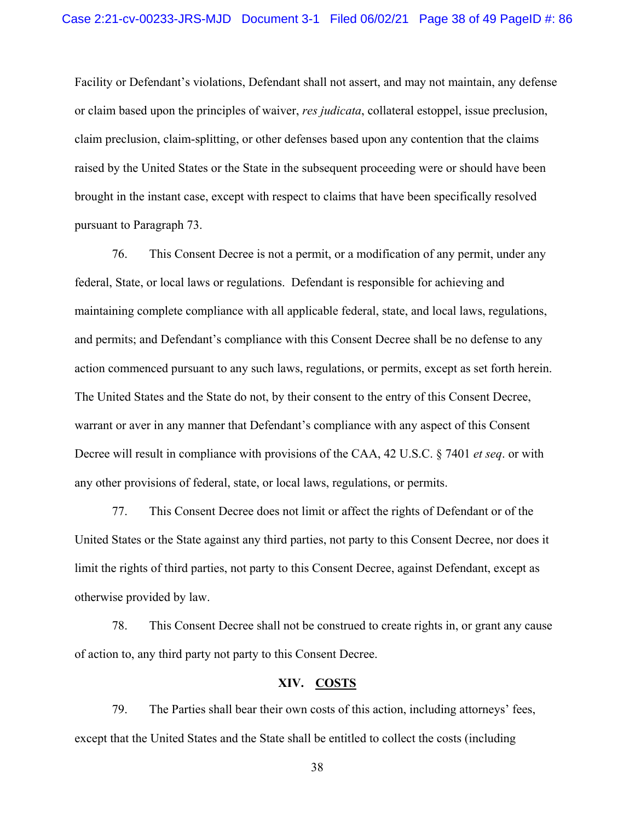Facility or Defendant's violations, Defendant shall not assert, and may not maintain, any defense or claim based upon the principles of waiver, *res judicata*, collateral estoppel, issue preclusion, claim preclusion, claim-splitting, or other defenses based upon any contention that the claims raised by the United States or the State in the subsequent proceeding were or should have been brought in the instant case, except with respect to claims that have been specifically resolved pursuant to Paragraph 73.

76. This Consent Decree is not a permit, or a modification of any permit, under any federal, State, or local laws or regulations. Defendant is responsible for achieving and maintaining complete compliance with all applicable federal, state, and local laws, regulations, and permits; and Defendant's compliance with this Consent Decree shall be no defense to any action commenced pursuant to any such laws, regulations, or permits, except as set forth herein. The United States and the State do not, by their consent to the entry of this Consent Decree, warrant or aver in any manner that Defendant's compliance with any aspect of this Consent Decree will result in compliance with provisions of the CAA, 42 U.S.C. § 7401 *et seq*. or with any other provisions of federal, state, or local laws, regulations, or permits.

77. This Consent Decree does not limit or affect the rights of Defendant or of the United States or the State against any third parties, not party to this Consent Decree, nor does it limit the rights of third parties, not party to this Consent Decree, against Defendant, except as otherwise provided by law.

78. This Consent Decree shall not be construed to create rights in, or grant any cause of action to, any third party not party to this Consent Decree.

#### **XIV. COSTS**

79. The Parties shall bear their own costs of this action, including attorneys' fees, except that the United States and the State shall be entitled to collect the costs (including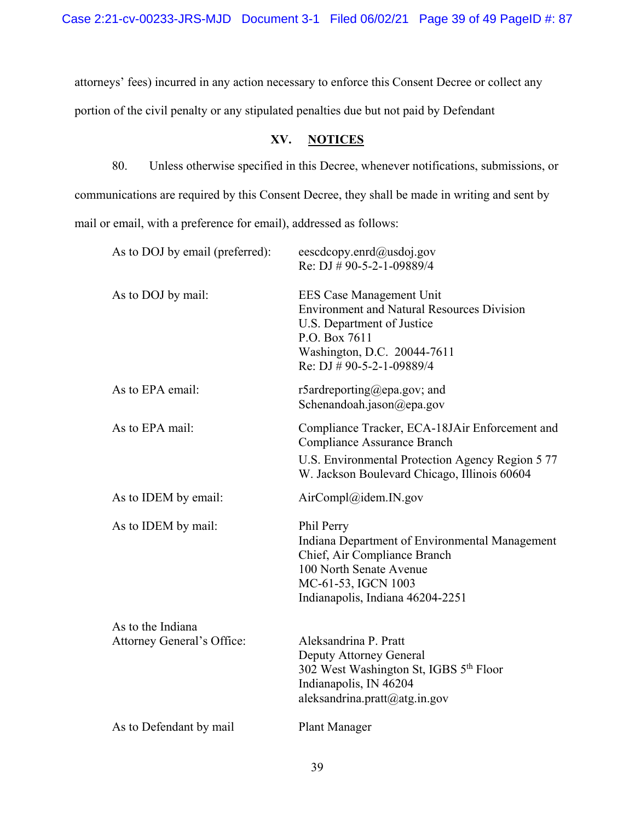attorneys' fees) incurred in any action necessary to enforce this Consent Decree or collect any

portion of the civil penalty or any stipulated penalties due but not paid by Defendant

# **XV. NOTICES**

80. Unless otherwise specified in this Decree, whenever notifications, submissions, or communications are required by this Consent Decree, they shall be made in writing and sent by mail or email, with a preference for email), addressed as follows:

| eescdcopy.enrd@usdoj.gov<br>Re: DJ # 90-5-2-1-09889/4                                                                                                                                           |
|-------------------------------------------------------------------------------------------------------------------------------------------------------------------------------------------------|
| <b>EES Case Management Unit</b><br><b>Environment and Natural Resources Division</b><br>U.S. Department of Justice<br>P.O. Box 7611<br>Washington, D.C. 20044-7611<br>Re: DJ # 90-5-2-1-09889/4 |
| r5ardreporting@epa.gov; and<br>Schenandoah.jason@epa.gov                                                                                                                                        |
| Compliance Tracker, ECA-18JAir Enforcement and<br>Compliance Assurance Branch<br>U.S. Environmental Protection Agency Region 5 77<br>W. Jackson Boulevard Chicago, Illinois 60604               |
| AirCompl@idem.IN.gov                                                                                                                                                                            |
| Phil Perry<br>Indiana Department of Environmental Management<br>Chief, Air Compliance Branch<br>100 North Senate Avenue<br>MC-61-53, IGCN 1003<br>Indianapolis, Indiana 46204-2251              |
| Aleksandrina P. Pratt<br>Deputy Attorney General<br>302 West Washington St, IGBS 5 <sup>th</sup> Floor<br>Indianapolis, IN 46204<br>aleksandrina.pratt@atg.in.gov                               |
| <b>Plant Manager</b>                                                                                                                                                                            |
|                                                                                                                                                                                                 |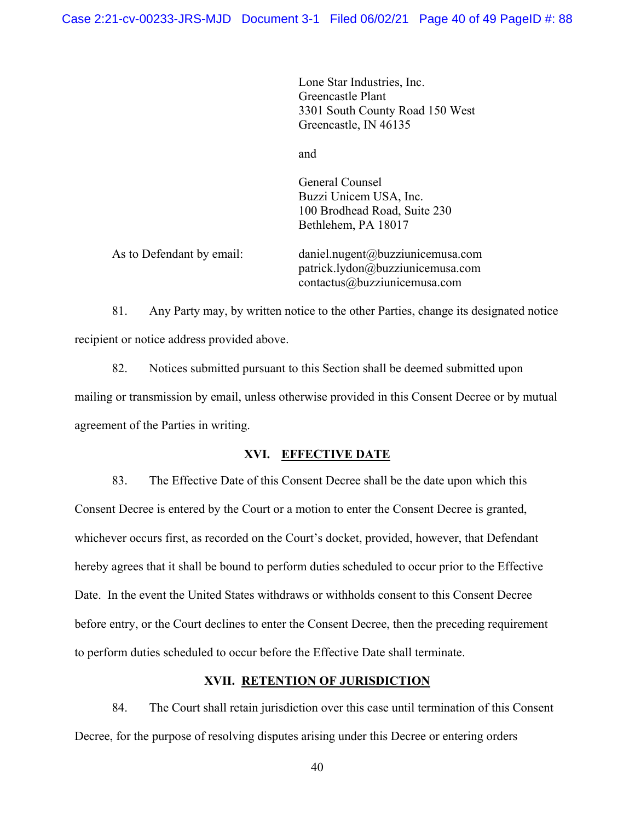Lone Star Industries, Inc. Greencastle Plant 3301 South County Road 150 West Greencastle, IN 46135

and

General Counsel Buzzi Unicem USA, Inc. 100 Brodhead Road, Suite 230 Bethlehem, PA 18017

As to Defendant by email: [daniel.nugent@buzziunicemusa.com](mailto:daniel.nugent@buzziunicemusa.com) [patrick.lydon@buzziunicemusa.com](mailto:patrick.lydon@buzziunicemusa.com)  [contactus@buzziunicemusa.com](mailto:contactus@buzziunicemusa.com)

81. Any Party may, by written notice to the other Parties, change its designated notice recipient or notice address provided above.

82. Notices submitted pursuant to this Section shall be deemed submitted upon mailing or transmission by email, unless otherwise provided in this Consent Decree or by mutual agreement of the Parties in writing.

# **XVI. EFFECTIVE DATE**

83. The Effective Date of this Consent Decree shall be the date upon which this Consent Decree is entered by the Court or a motion to enter the Consent Decree is granted, whichever occurs first, as recorded on the Court's docket, provided, however, that Defendant hereby agrees that it shall be bound to perform duties scheduled to occur prior to the Effective Date. In the event the United States withdraws or withholds consent to this Consent Decree before entry, or the Court declines to enter the Consent Decree, then the preceding requirement to perform duties scheduled to occur before the Effective Date shall terminate.

# **XVII. RETENTION OF JURISDICTION**

84. The Court shall retain jurisdiction over this case until termination of this Consent Decree, for the purpose of resolving disputes arising under this Decree or entering orders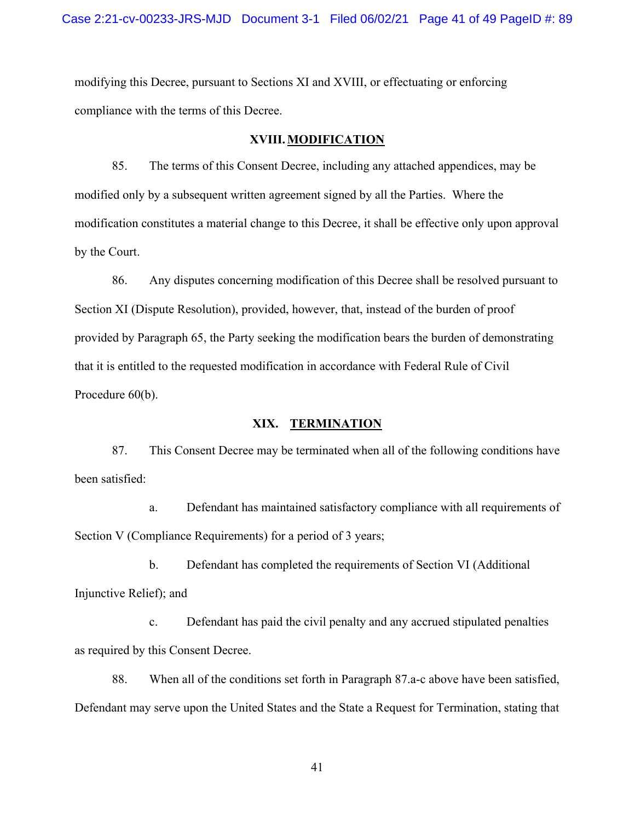modifying this Decree, pursuant to Sections XI and XVIII, or effectuating or enforcing compliance with the terms of this Decree.

#### **XVIII. MODIFICATION**

85. The terms of this Consent Decree, including any attached appendices, may be modified only by a subsequent written agreement signed by all the Parties. Where the modification constitutes a material change to this Decree, it shall be effective only upon approval by the Court.

86. Any disputes concerning modification of this Decree shall be resolved pursuant to Section XI (Dispute Resolution), provided, however, that, instead of the burden of proof provided by Paragraph 65, the Party seeking the modification bears the burden of demonstrating that it is entitled to the requested modification in accordance with Federal Rule of Civil Procedure 60(b).

### **XIX. TERMINATION**

87. This Consent Decree may be terminated when all of the following conditions have been satisfied:

a. Defendant has maintained satisfactory compliance with all requirements of Section V (Compliance Requirements) for a period of 3 years;

b. Defendant has completed the requirements of Section VI (Additional Injunctive Relief); and

c. Defendant has paid the civil penalty and any accrued stipulated penalties as required by this Consent Decree.

88. When all of the conditions set forth in Paragraph 87.a-c above have been satisfied, Defendant may serve upon the United States and the State a Request for Termination, stating that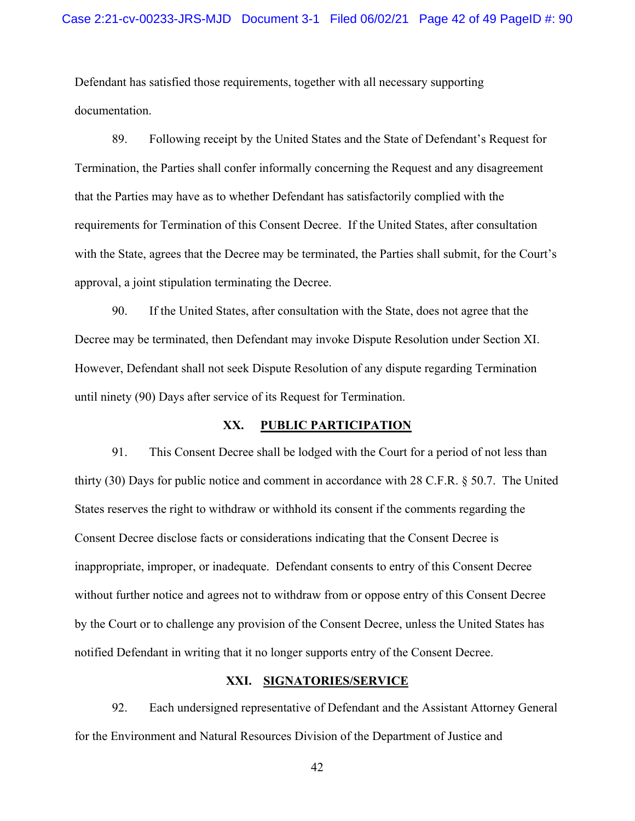Defendant has satisfied those requirements, together with all necessary supporting documentation.

89. Following receipt by the United States and the State of Defendant's Request for Termination, the Parties shall confer informally concerning the Request and any disagreement that the Parties may have as to whether Defendant has satisfactorily complied with the requirements for Termination of this Consent Decree. If the United States, after consultation with the State, agrees that the Decree may be terminated, the Parties shall submit, for the Court's approval, a joint stipulation terminating the Decree.

90. If the United States, after consultation with the State, does not agree that the Decree may be terminated, then Defendant may invoke Dispute Resolution under Section XI. However, Defendant shall not seek Dispute Resolution of any dispute regarding Termination until ninety (90) Days after service of its Request for Termination.

#### **XX. PUBLIC PARTICIPATION**

91. This Consent Decree shall be lodged with the Court for a period of not less than thirty (30) Days for public notice and comment in accordance with 28 C.F.R. § 50.7. The United States reserves the right to withdraw or withhold its consent if the comments regarding the Consent Decree disclose facts or considerations indicating that the Consent Decree is inappropriate, improper, or inadequate. Defendant consents to entry of this Consent Decree without further notice and agrees not to withdraw from or oppose entry of this Consent Decree by the Court or to challenge any provision of the Consent Decree, unless the United States has notified Defendant in writing that it no longer supports entry of the Consent Decree.

#### **XXI. SIGNATORIES/SERVICE**

92. Each undersigned representative of Defendant and the Assistant Attorney General for the Environment and Natural Resources Division of the Department of Justice and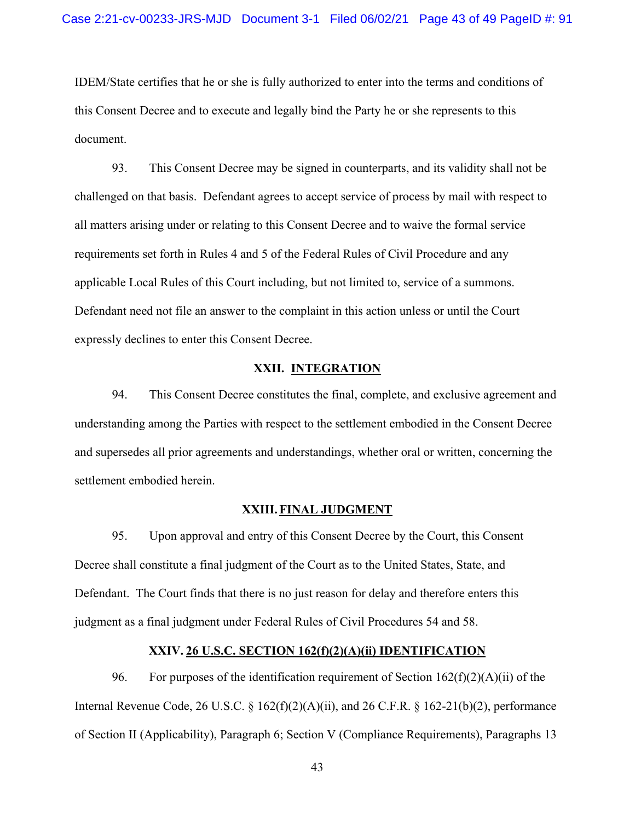IDEM/State certifies that he or she is fully authorized to enter into the terms and conditions of this Consent Decree and to execute and legally bind the Party he or she represents to this document.

93. This Consent Decree may be signed in counterparts, and its validity shall not be challenged on that basis. Defendant agrees to accept service of process by mail with respect to all matters arising under or relating to this Consent Decree and to waive the formal service requirements set forth in Rules 4 and 5 of the Federal Rules of Civil Procedure and any applicable Local Rules of this Court including, but not limited to, service of a summons. Defendant need not file an answer to the complaint in this action unless or until the Court expressly declines to enter this Consent Decree.

#### **XXII. INTEGRATION**

94. This Consent Decree constitutes the final, complete, and exclusive agreement and understanding among the Parties with respect to the settlement embodied in the Consent Decree and supersedes all prior agreements and understandings, whether oral or written, concerning the settlement embodied herein.

#### **XXIII. FINAL JUDGMENT**

95. Upon approval and entry of this Consent Decree by the Court, this Consent Decree shall constitute a final judgment of the Court as to the United States, State, and Defendant. The Court finds that there is no just reason for delay and therefore enters this judgment as a final judgment under Federal Rules of Civil Procedures 54 and 58.

# **XXIV. 26 U.S.C. SECTION 162(f)(2)(A)(ii) IDENTIFICATION**

96. For purposes of the identification requirement of Section  $162(f)(2)(A)(ii)$  of the Internal Revenue Code, 26 U.S.C.  $\S 162(f)(2)(A)(ii)$ , and 26 C.F.R.  $\S 162-21(b)(2)$ , performance of Section II (Applicability), Paragraph 6; Section V (Compliance Requirements), Paragraphs 13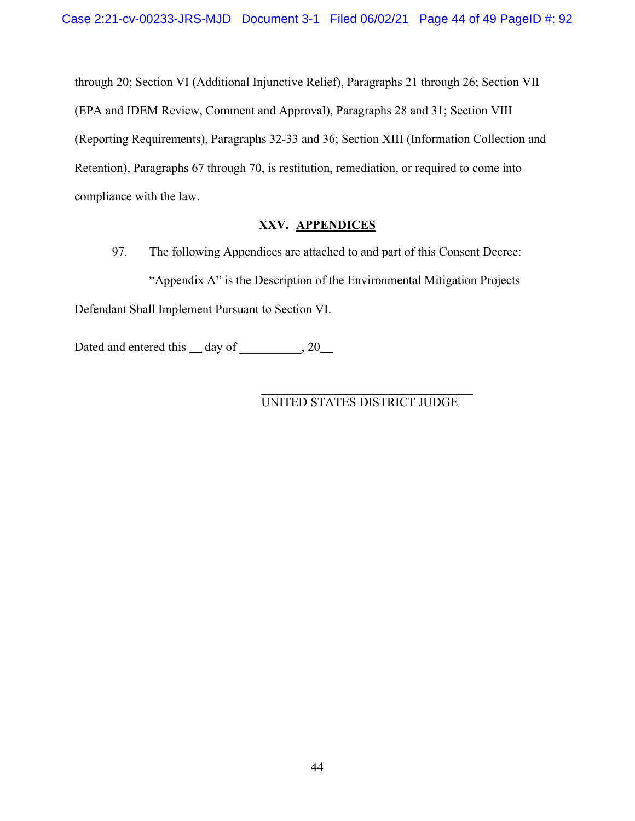through 20; Section VI (Additional Injunctive Relief), Paragraphs 21 through 26; Section VII (EPA and IDEM Review, Comment and Approval), Paragraphs 28 and 31; Section VIII (Reporting Requirements), Paragraphs 32-33 and 36; Section XIII (Information Collection and Retention), Paragraphs 67 through 70, is restitution, remediation, or required to come into compliance with the law.

# **XXV. APPENDICES**

97. The following Appendices are attached to and part of this Consent Decree: "Appendix A" is the Description of the Environmental Mitigation Projects Defendant Shall Implement Pursuant to Section VI.

Dated and entered this  $\_\_$  day of  $\_\,$ , 20

# UNITED STATES DISTRICT JUDGE

 $\mathcal{L}_\text{max}$  and  $\mathcal{L}_\text{max}$  and  $\mathcal{L}_\text{max}$  and  $\mathcal{L}_\text{max}$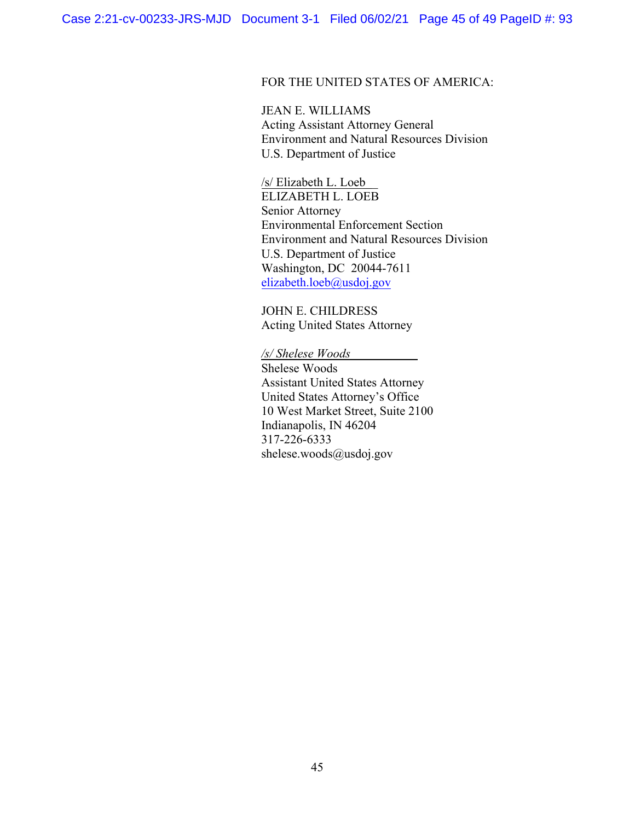# FOR THE UNITED STATES OF AMERICA:

JEAN E. WILLIAMS Acting Assistant Attorney General Environment and Natural Resources Division U.S. Department of Justice

/s/ Elizabeth L. Loeb\_\_

ELIZABETH L. LOEB Senior Attorney Environmental Enforcement Section Environment and Natural Resources Division U.S. Department of Justice Washington, DC 20044-7611 [elizabeth.loeb@usdoj.gov](mailto:elizabeth.loeb@usdoj.gov)

JOHN E. CHILDRESS Acting United States Attorney

*/s/ Shelese Woods*

Shelese Woods Assistant United States Attorney United States Attorney's Office 10 West Market Street, Suite 2100 Indianapolis, IN 46204 317-226-6333 [shelese.woods@usdoj.gov](mailto:shelese.woods@usdoj.gov)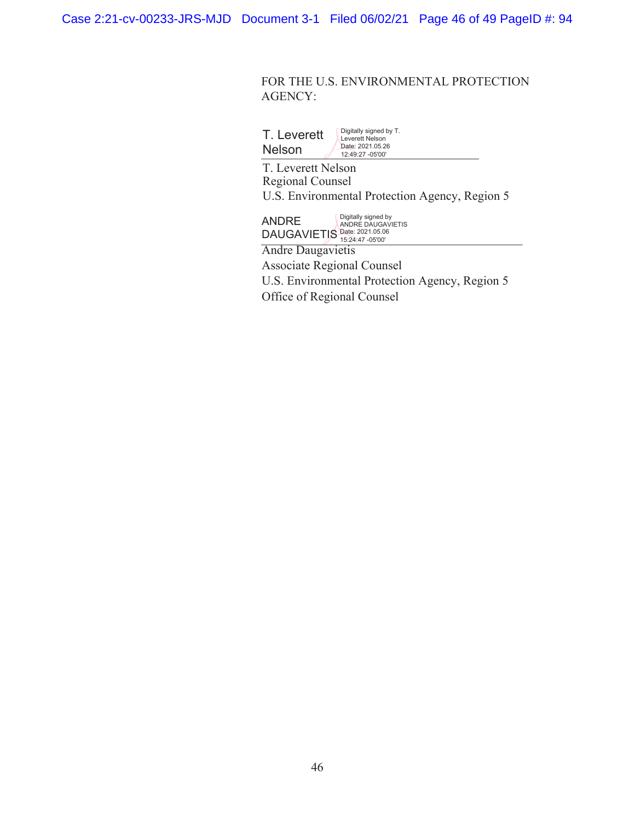Case 2:21-cv-00233-JRS-MJD Document 3-1 Filed 06/02/21 Page 46 of 49 PageID #: 94

# FOR THE U.S. ENVIRONMENTAL PROTECTION AGENCY:

| T. Leverett   | Digitally signed by T.<br>Leverett Nelson |
|---------------|-------------------------------------------|
| <b>Nelson</b> | Date: 2021.05.26<br>12:49:27 -05'00'      |

T. Leverett Nelson Regional Counsel U.S. Environmental Protection Agency, Region 5

**ANDRE Digitally signed by ANDRE** DAUGAVIETIS Date: 2021.05.06

Andre Daugavietis Associate Regional Counsel U.S. Environmental Protection Agency, Region 5 Office of Regional Counsel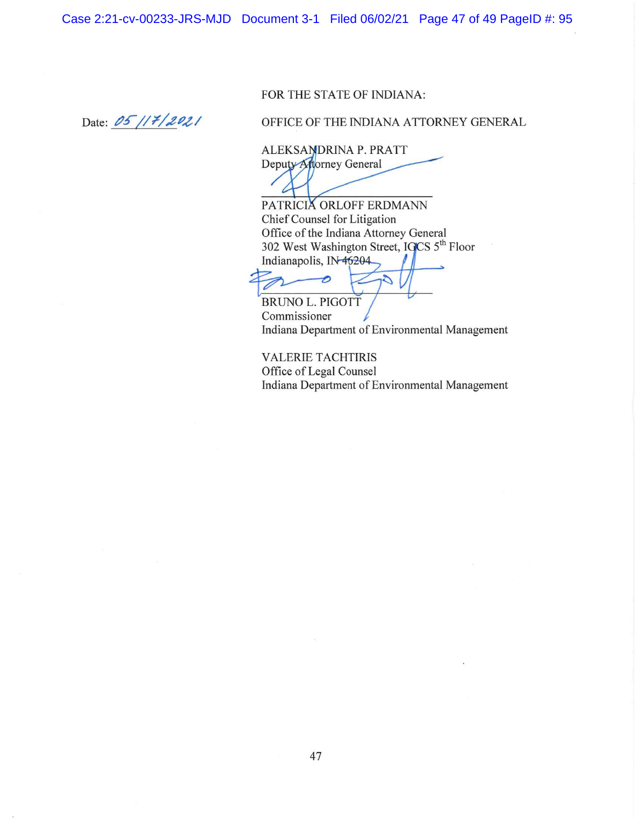Case 2:21-cv-00233-JRS-MJD Document 3-1 Filed 06/02/21 Page 47 of 49 PageID #: 95

# FOR THE STATE OF INDIANA:

Date: 05/17/2021

OFFICE OF THE INDIANA ATTORNEY GENERAL

ALEKSANDRINA P. PRATT Deputy Attorney General

PATRICIA ORLOFF ERDMANN Chief Counsel for Litigation Office of the Indiana Attorney General 302 West Washington Street, IGCS 5th Floor Indianapolis, IN-46204

S

**BRUNO L. PIGOTT** Commissioner Indiana Department of Environmental Management

**VALERIE TACHTIRIS** Office of Legal Counsel Indiana Department of Environmental Management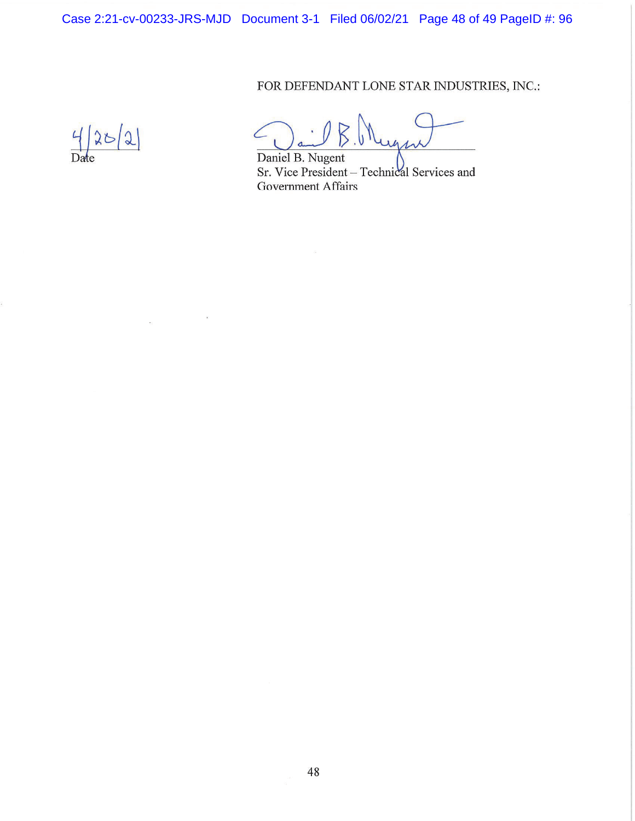Case 2:21-cv-00233-JRS-MJD Document 3-1 Filed 06/02/21 Page 48 of 49 PageID #: 96

FOR DEFENDANT LONE STAR INDUSTRIES, INC.:

 $4|25|2$ 

 $\sim$ 

 $\overline{\mathbf{r}}$ 

 $411$ 

Daniel B. Nugent Sr. Vice President - Technical Services and **Government Affairs**